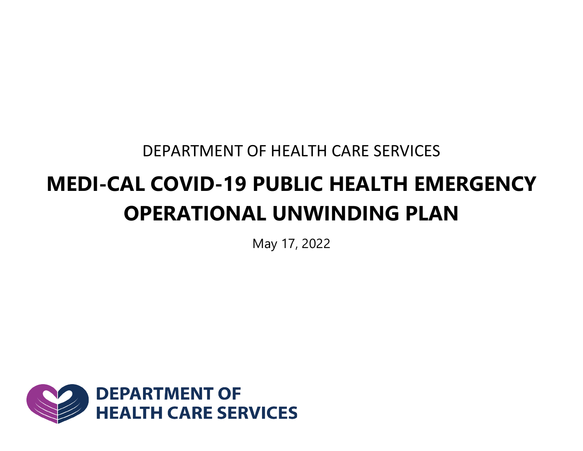DEPARTMENT OF HEALTH CARE SERVICES

# **MEDI-CAL COVID-19 PUBLIC HEALTH EMERGENCY OPERATIONAL UNWINDING PLAN**

May 17, 2022

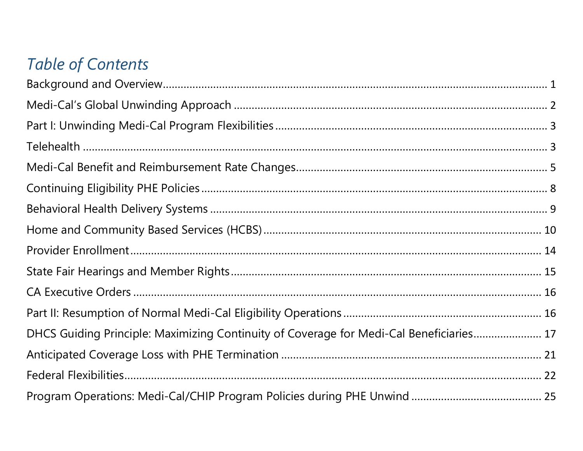## **Table of Contents**

| DHCS Guiding Principle: Maximizing Continuity of Coverage for Medi-Cal Beneficiaries 17 |  |
|-----------------------------------------------------------------------------------------|--|
|                                                                                         |  |
|                                                                                         |  |
|                                                                                         |  |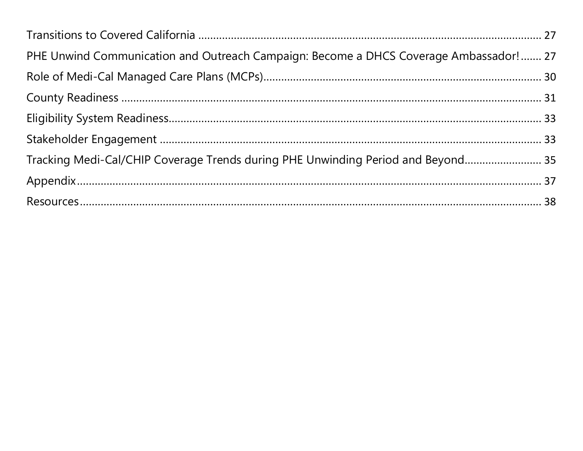| PHE Unwind Communication and Outreach Campaign: Become a DHCS Coverage Ambassador!  27 |  |
|----------------------------------------------------------------------------------------|--|
|                                                                                        |  |
|                                                                                        |  |
|                                                                                        |  |
|                                                                                        |  |
| Tracking Medi-Cal/CHIP Coverage Trends during PHE Unwinding Period and Beyond 35       |  |
|                                                                                        |  |
|                                                                                        |  |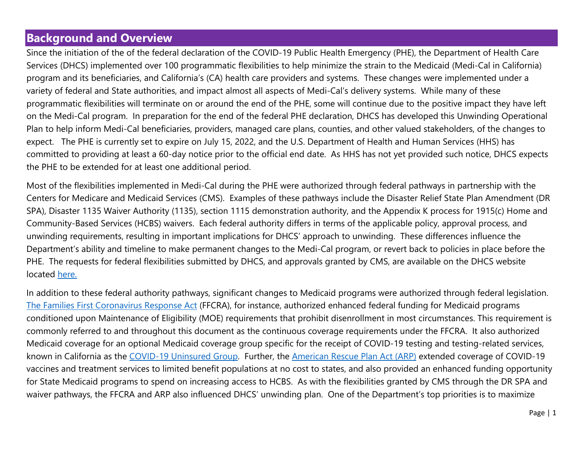### <span id="page-3-0"></span>**Background and Overview**

Since the initiation of the of the federal declaration of the COVID-19 Public Health Emergency (PHE), the Department of Health Care Services (DHCS) implemented over 100 programmatic flexibilities to help minimize the strain to the Medicaid (Medi-Cal in California) program and its beneficiaries, and California's (CA) health care providers and systems. These changes were implemented under a variety of federal and State authorities, and impact almost all aspects of Medi-Cal's delivery systems. While many of these programmatic flexibilities will terminate on or around the end of the PHE, some will continue due to the positive impact they have left on the Medi-Cal program. In preparation for the end of the federal PHE declaration, DHCS has developed this Unwinding Operational Plan to help inform Medi-Cal beneficiaries, providers, managed care plans, counties, and other valued stakeholders, of the changes to expect. The PHE is currently set to expire on July 15, 2022, and the U.S. Department of Health and Human Services (HHS) has committed to providing at least a 60-day notice prior to the official end date. As HHS has not yet provided such notice, DHCS expects the PHE to be extended for at least one additional period.

Most of the flexibilities implemented in Medi-Cal during the PHE were authorized through federal pathways in partnership with the Centers for Medicare and Medicaid Services (CMS). Examples of these pathways include the Disaster Relief State Plan Amendment (DR SPA), Disaster 1135 Waiver Authority (1135), section 1115 demonstration authority, and the Appendix K process for 1915(c) Home and Community-Based Services (HCBS) waivers. Each federal authority differs in terms of the applicable policy, approval process, and unwinding requirements, resulting in important implications for DHCS' approach to unwinding. These differences influence the Department's ability and timeline to make permanent changes to the Medi-Cal program, or revert back to policies in place before the PHE. The requests for federal flexibilities submitted by DHCS, and approvals granted by CMS, are available on the DHCS website located [here.](https://www.dhcs.ca.gov/Pages/COVID-19-Waivers.aspx)

In addition to these federal authority pathways, significant changes to Medicaid programs were authorized through federal legislation. The Families First [Coronavirus Response Act](https://www.congress.gov/116/plaws/publ127/PLAW-116publ127.pdf) (FFCRA), for instance, authorized enhanced federal funding for Medicaid programs conditioned upon Maintenance of Eligibility (MOE) requirements that prohibit disenrollment in most circumstances. This requirement is commonly referred to and throughout this document as the continuous coverage requirements under the FFCRA. It also authorized Medicaid coverage for an optional Medicaid coverage group specific for the receipt of COVID-19 testing and testing-related services, known in California as the [COVID-19 Uninsured Group.](https://www.dhcs.ca.gov/services/medi-cal/eligibility/Pages/COVID-19-Presumptive-Eligibility-Program.aspx) Further, the [American Rescue Plan Act \(ARP\)](https://www.congress.gov/117/plaws/publ2/PLAW-117publ2.pdf) extended coverage of COVID-19 vaccines and treatment services to limited benefit populations at no cost to states, and also provided an enhanced funding opportunity for State Medicaid programs to spend on increasing access to HCBS. As with the flexibilities granted by CMS through the DR SPA and waiver pathways, the FFCRA and ARP also influenced DHCS' unwinding plan. One of the Department's top priorities is to maximize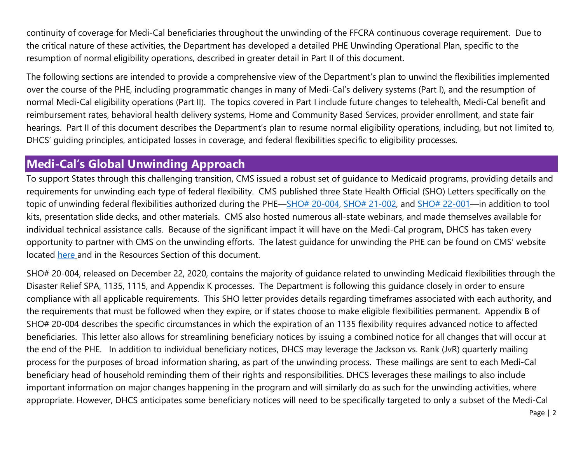<span id="page-4-0"></span>continuity of coverage for Medi-Cal beneficiaries throughout the unwinding of the FFCRA continuous coverage requirement. Due to the critical nature of these activities, the Department has developed a detailed PHE Unwinding Operational Plan, specific to the resumption of normal eligibility operations, described in greater detail in Part II of this document.

The following sections are intended to provide a comprehensive view of the Department's plan to unwind the flexibilities implemented over the course of the PHE, including programmatic changes in many of Medi-Cal's delivery systems (Part I), and the resumption of normal Medi-Cal eligibility operations (Part II). The topics covered in Part I include future changes to telehealth, Medi-Cal benefit and reimbursement rates, behavioral health delivery systems, Home and Community Based Services, provider enrollment, and state fair hearings. Part II of this document describes the Department's plan to resume normal eligibility operations, including, but not limited to, DHCS' guiding principles, anticipated losses in coverage, and federal flexibilities specific to eligibility processes.

#### **Medi-Cal's Global Unwinding Approach**

To support States through this challenging transition, CMS issued a robust set of guidance to Medicaid programs, providing details and requirements for unwinding each type of federal flexibility. CMS published three State Health Official (SHO) Letters specifically on the topic of unwinding federal flexibilities authorized during the PHE[—SHO# 20-004,](https://www.medicaid.gov/federal-policy-guidance/downloads/sho20004.pdf) [SHO# 21-002,](https://www.medicaid.gov/federal-policy-guidance/downloads/sho-21-002.pdf) and [SHO# 22-001—](https://www.medicaid.gov/federal-policy-guidance/downloads/sho22001.pdf)in addition to tool kits, presentation slide decks, and other materials. CMS also hosted numerous all-state webinars, and made themselves available for individual technical assistance calls. Because of the significant impact it will have on the Medi-Cal program, DHCS has taken every opportunity to partner with CMS on the unwinding efforts. The latest guidance for unwinding the PHE can be found on CMS' website located [here](https://www.medicaid.gov/resources-for-states/coronavirus-disease-2019-covid-19/unwinding-and-returning-regular-operations-after-covid-19/index.html) and in the Resources Section of this document.

SHO# 20-004, released on December 22, 2020, contains the majority of guidance related to unwinding Medicaid flexibilities through the Disaster Relief SPA, 1135, 1115, and Appendix K processes. The Department is following this guidance closely in order to ensure compliance with all applicable requirements. This SHO letter provides details regarding timeframes associated with each authority, and the requirements that must be followed when they expire, or if states choose to make eligible flexibilities permanent. Appendix B of SHO# 20-004 describes the specific circumstances in which the expiration of an 1135 flexibility requires advanced notice to affected beneficiaries. This letter also allows for streamlining beneficiary notices by issuing a combined notice for all changes that will occur at the end of the PHE. In addition to individual beneficiary notices, DHCS may leverage the Jackson vs. Rank (JvR) quarterly mailing process for the purposes of broad information sharing, as part of the unwinding process. These mailings are sent to each Medi-Cal beneficiary head of household reminding them of their rights and responsibilities. DHCS leverages these mailings to also include important information on major changes happening in the program and will similarly do as such for the unwinding activities, where appropriate. However, DHCS anticipates some beneficiary notices will need to be specifically targeted to only a subset of the Medi-Cal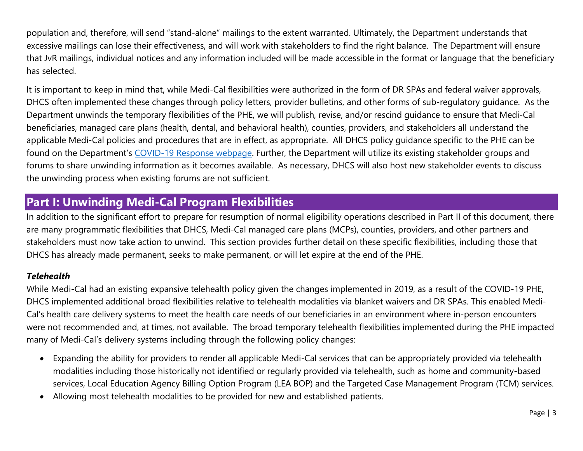<span id="page-5-0"></span>population and, therefore, will send "stand-alone" mailings to the extent warranted. Ultimately, the Department understands that excessive mailings can lose their effectiveness, and will work with stakeholders to find the right balance. The Department will ensure that JvR mailings, individual notices and any information included will be made accessible in the format or language that the beneficiary has selected.

It is important to keep in mind that, while Medi-Cal flexibilities were authorized in the form of DR SPAs and federal waiver approvals, DHCS often implemented these changes through policy letters, provider bulletins, and other forms of sub-regulatory guidance. As the Department unwinds the temporary flexibilities of the PHE, we will publish, revise, and/or rescind guidance to ensure that Medi-Cal beneficiaries, managed care plans (health, dental, and behavioral health), counties, providers, and stakeholders all understand the applicable Medi-Cal policies and procedures that are in effect, as appropriate. All DHCS policy guidance specific to the PHE can be found on the Department's [COVID-19 Response webpage.](https://www.dhcs.ca.gov/Pages/DHCS-COVID%E2%80%9119-Response.aspx) Further, the Department will utilize its existing stakeholder groups and forums to share unwinding information as it becomes available. As necessary, DHCS will also host new stakeholder events to discuss the unwinding process when existing forums are not sufficient.

## **Part I: Unwinding Medi-Cal Program Flexibilities**

In addition to the significant effort to prepare for resumption of normal eligibility operations described in Part II of this document, there are many programmatic flexibilities that DHCS, Medi-Cal managed care plans (MCPs), counties, providers, and other partners and stakeholders must now take action to unwind. This section provides further detail on these specific flexibilities, including those that DHCS has already made permanent, seeks to make permanent, or will let expire at the end of the PHE.

#### *Telehealth*

While Medi-Cal had an existing expansive telehealth policy given the changes implemented in 2019, as a result of the COVID-19 PHE, DHCS implemented additional broad flexibilities relative to telehealth modalities via blanket waivers and DR SPAs. This enabled Medi-Cal's health care delivery systems to meet the health care needs of our beneficiaries in an environment where in-person encounters were not recommended and, at times, not available. The broad temporary telehealth flexibilities implemented during the PHE impacted many of Medi-Cal's delivery systems including through the following policy changes:

- Expanding the ability for providers to render all applicable Medi-Cal services that can be appropriately provided via telehealth modalities including those historically not identified or regularly provided via telehealth, such as home and community-based services, Local Education Agency Billing Option Program (LEA BOP) and the Targeted Case Management Program (TCM) services.
- Allowing most telehealth modalities to be provided for new and established patients.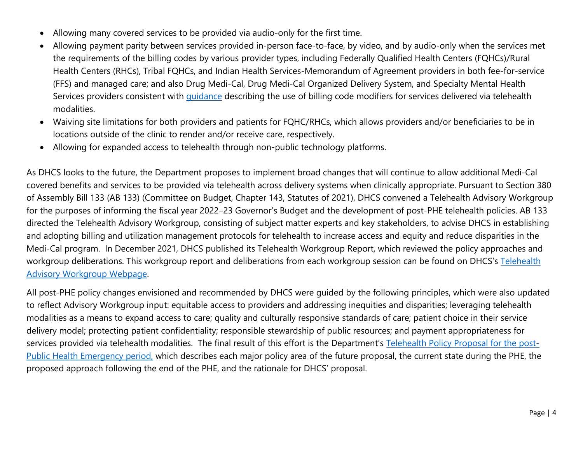- Allowing many covered services to be provided via audio-only for the first time.
- Allowing payment parity between services provided in-person face-to-face, by video, and by audio-only when the services met the requirements of the billing codes by various provider types, including Federally Qualified Health Centers (FQHCs)/Rural Health Centers (RHCs), Tribal FQHCs, and Indian Health Services-Memorandum of Agreement providers in both fee-for-service (FFS) and managed care; and also Drug Medi-Cal, Drug Medi-Cal Organized Delivery System, and Specialty Mental Health Services providers consistent with *[guidance](https://www.dhcs.ca.gov/Documents/BHIN-21-047-Telehealth-Guidance-for-SMHS-and-SUD-Medi-Cal.pdf)* describing the use of billing code modifiers for services delivered via telehealth modalities.
- Waiving site limitations for both providers and patients for FQHC/RHCs, which allows providers and/or beneficiaries to be in locations outside of the clinic to render and/or receive care, respectively.
- Allowing for expanded access to telehealth through non-public technology platforms.

As DHCS looks to the future, the Department proposes to implement broad changes that will continue to allow additional Medi-Cal covered benefits and services to be provided via telehealth across delivery systems when clinically appropriate. Pursuant to Section 380 of Assembly Bill 133 (AB 133) (Committee on Budget, Chapter 143, Statutes of 2021), DHCS convened a Telehealth Advisory Workgroup for the purposes of informing the fiscal year 2022–23 Governor's Budget and the development of post-PHE telehealth policies. AB 133 directed the Telehealth Advisory Workgroup, consisting of subject matter experts and key stakeholders, to advise DHCS in establishing and adopting billing and utilization management protocols for telehealth to increase access and equity and reduce disparities in the Medi-Cal program. In December 2021, DHCS published its Telehealth Workgroup Report, which reviewed the policy approaches and workgroup deliberations. This workgroup report and deliberations from each workgroup session can be found on DHCS's [Telehealth](https://www.dhcs.ca.gov/provgovpart/Pages/TelehealthAdvisoryWorkgroup.aspx) [Advisory Workgroup Webpage.](https://www.dhcs.ca.gov/provgovpart/Pages/TelehealthAdvisoryWorkgroup.aspx)

All post-PHE policy changes envisioned and recommended by DHCS were guided by the following principles, which were also updated to reflect Advisory Workgroup input: equitable access to providers and addressing inequities and disparities; leveraging telehealth modalities as a means to expand access to care; quality and culturally responsive standards of care; patient choice in their service delivery model; protecting patient confidentiality; responsible stewardship of public resources; and payment appropriateness for services provided via telehealth modalities. The final result of this effort is the Department's [Telehealth Policy Proposal for the](https://www.dhcs.ca.gov/services/medi-cal/Documents/DHCS-Telehealth-Policy-Paper-2-3-22.pdf) post-[Public Health Emergency period,](https://www.dhcs.ca.gov/services/medi-cal/Documents/DHCS-Telehealth-Policy-Paper-2-3-22.pdf) which describes each major policy area of the future proposal, the current state during the PHE, the proposed approach following the end of the PHE, and the rationale for DHCS' proposal.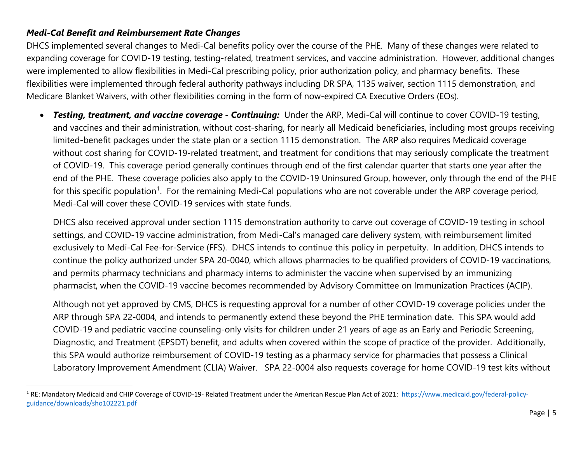#### <span id="page-7-0"></span>*Medi-Cal Benefit and Reimbursement Rate Changes*

 $\overline{\phantom{a}}$ 

DHCS implemented several changes to Medi-Cal benefits policy over the course of the PHE. Many of these changes were related to expanding coverage for COVID-19 testing, testing-related, treatment services, and vaccine administration. However, additional changes were implemented to allow flexibilities in Medi-Cal prescribing policy, prior authorization policy, and pharmacy benefits. These flexibilities were implemented through federal authority pathways including DR SPA, 1135 waiver, section 1115 demonstration, and Medicare Blanket Waivers, with other flexibilities coming in the form of now-expired CA Executive Orders (EOs).

• *Testing, treatment, and vaccine coverage - Continuing:* Under the ARP, Medi-Cal will continue to cover COVID-19 testing, and vaccines and their administration, without cost-sharing, for nearly all Medicaid beneficiaries, including most groups receiving limited-benefit packages under the state plan or a section 1115 demonstration. The ARP also requires Medicaid coverage without cost sharing for COVID-19-related treatment, and treatment for conditions that may seriously complicate the treatment of COVID-19. This coverage period generally continues through end of the first calendar quarter that starts one year after the end of the PHE. These coverage policies also apply to the COVID-19 Uninsured Group, however, only through the end of the PHE for this specific population<sup>[1](#page-7-0)</sup>. For the remaining Medi-Cal populations who are not coverable under the ARP coverage period, Medi-Cal will cover these COVID-19 services with state funds.

DHCS also received approval under section 1115 demonstration authority to carve out coverage of COVID-19 testing in school settings, and COVID-19 vaccine administration, from Medi-Cal's managed care delivery system, with reimbursement limited exclusively to Medi-Cal Fee-for-Service (FFS). DHCS intends to continue this policy in perpetuity. In addition, DHCS intends to continue the policy authorized under SPA 20-0040, which allows pharmacies to be qualified providers of COVID-19 vaccinations, and permits pharmacy technicians and pharmacy interns to administer the vaccine when supervised by an immunizing pharmacist, when the COVID-19 vaccine becomes recommended by Advisory Committee on Immunization Practices (ACIP).

Although not yet approved by CMS, DHCS is requesting approval for a number of other COVID-19 coverage policies under the ARP through SPA 22-0004, and intends to permanently extend these beyond the PHE termination date. This SPA would add COVID-19 and pediatric vaccine counseling-only visits for children under 21 years of age as an Early and Periodic Screening, Diagnostic, and Treatment (EPSDT) benefit, and adults when covered within the scope of practice of the provider. Additionally, this SPA would authorize reimbursement of COVID-19 testing as a pharmacy service for pharmacies that possess a Clinical Laboratory Improvement Amendment (CLIA) Waiver. SPA 22-0004 also requests coverage for home COVID-19 test kits without

<sup>&</sup>lt;sup>1</sup> RE: Mandatory Medicaid and CHIP Coverage of COVID-19- Related Treatment under the American Rescue Plan Act of 2021: [https://www.medicaid.gov/federal-policy](https://www.medicaid.gov/federal-policy-guidance/downloads/sho102221.pdf)[guidance/downloads/sho102221.pdf](https://www.medicaid.gov/federal-policy-guidance/downloads/sho102221.pdf)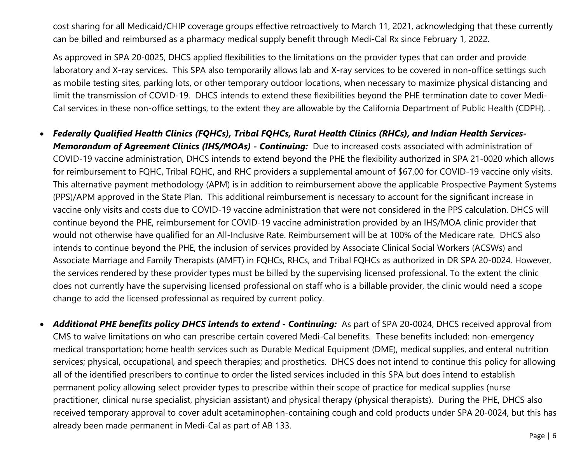cost sharing for all Medicaid/CHIP coverage groups effective retroactively to March 11, 2021, acknowledging that these currently can be billed and reimbursed as a pharmacy medical supply benefit through Medi-Cal Rx since February 1, 2022.

As approved in SPA 20-0025, DHCS applied flexibilities to the limitations on the provider types that can order and provide laboratory and X-ray services. This SPA also temporarily allows lab and X-ray services to be covered in non-office settings such as mobile testing sites, parking lots, or other temporary outdoor locations, when necessary to maximize physical distancing and limit the transmission of COVID-19. DHCS intends to extend these flexibilities beyond the PHE termination date to cover Medi-Cal services in these non-office settings, to the extent they are allowable by the California Department of Public Health (CDPH). .

#### • *Federally Qualified Health Clinics (FQHCs), Tribal FQHCs, Rural Health Clinics (RHCs), and Indian Health Services-*

*Memorandum of Agreement Clinics (IHS/MOAs) - Continuing:* Due to increased costs associated with administration of COVID-19 vaccine administration, DHCS intends to extend beyond the PHE the flexibility authorized in SPA 21-0020 which allows for reimbursement to FQHC, Tribal FQHC, and RHC providers a supplemental amount of \$67.00 for COVID-19 vaccine only visits. This alternative payment methodology (APM) is [in ad](https://www.dhcs.ca.gov/Documents/COVID-19/CM-Blanket-Waivers-6-3-2020-Approved.pdf)dition to reimbursement above the applicable Prospective Payment Systems (PPS)/APM approved in the State Plan. This additional reimbursement is necessary to account for the significant increase in vaccine only visits and costs due to COVID-19 vaccine administration that were not considered in the PPS calculation. DHCS will continue beyond the PHE, reimbursement for COVID-19 vaccine administration provided by an IHS/MOA clinic provider that would not otherwise have qualified for an All-Inclusive Rate. Reimbursement will be at 100% of the Medicare rate. DHCS also intends to continue beyond the PHE, the inclusion of services provided by Associate Clinical Social Workers (ACSWs) and Associate Marriage and Family Therapists (AMFT) in FQHCs, RHCs, and Tribal FQHCs as authorized in DR SPA 20-0024. However, the services rendered by these provider types must be billed by the supervising licensed professional. To the extent the clinic does not currently have the supervising licensed professional on staff who is a billable provider, the clinic would need a scope change to add the licensed professional as required by current policy.

• *Additional PHE benefits policy DHCS intends to extend - Continuing:* As part of SPA 20-0024, DHCS received approval from CMS to waive limitations on who can prescribe certain covered Medi-Cal benefits. These benefits included: non-emergency medical transportation; home health services such as Durable Medical Equipment (DME), medical supplies, and enteral nutrition services; physical, occupational, and speech therapies; and prosthetics. DHCS does not intend to continue this policy for allowing all of the identified prescribers to continue to order the listed services included in this SPA but does intend to establish permanent policy allowing select provider types to prescribe within their scope of practice for medical supplies (nurse practitioner, clinical nurse specialist, physician assistant) and physical therapy (physical therapists). During the PHE, DHCS also received temporary approval to cover adult acetaminophen-containing cough and cold products under SPA 20-0024, but this has already been made permanent in Medi-Cal as part of AB 133.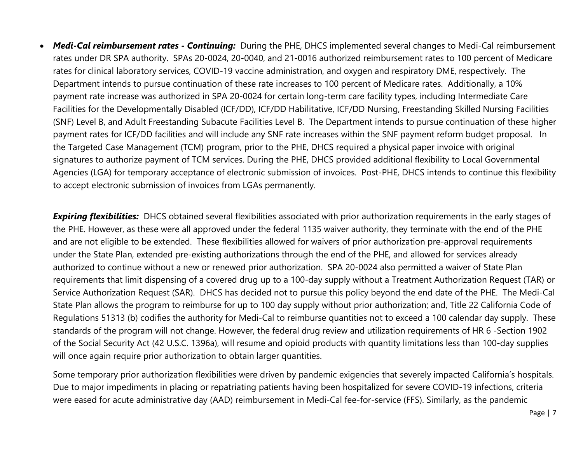• *Medi-Cal reimbursement rates - Continuing:* During the PHE, DHCS implemented several changes to Medi-Cal reimbursement rates under DR SPA authority. SPAs 20-0024, 20-0040, and 21-0016 authorized reimbursement rates to 100 percent of Medicare rates for clinical laboratory services, COVID-19 vaccine administration, and oxygen and respiratory DME, respectively. The Department intends to pursue continuation of these rate increases to 100 percent of Medicare rates. Additionally, a 10% payment rate increase was authorized in SPA 20-0024 for certain long-term care facility types, including Intermediate Care Facilities for the Developmentally Disabled (ICF/DD), ICF/DD Habilitative, ICF/DD Nursing, Freestanding Skilled Nursing Facilities (SNF) Level B, and Adult Freestanding Subacute Facilities Level B. The Department intends to pursue continuation of these higher payment rates for ICF/DD facilities and will include any SNF rate increases within the SNF payment reform budget proposal. In the Targeted Case Management (TCM) program, prior to the PHE, DHCS required a physical paper invoice with original signatures to authorize payment of TCM services. During the PHE, DHCS provided additional flexibility to Local Governmental Agencies (LGA) for temporary acceptance of electronic submission of invoices. Post-PHE, DHCS intends to continue this flexibility to accept electronic submission of invoices from LGAs permanently.

*Expiring flexibilities:* DHCS obtained several flexibilities associated with prior authorization requirements in the early stages of the PHE. However, as these were all approved under the federal 1135 waiver authority, they terminate with the end of the PHE and are not eligible to be extended. These flexibilities allowed for waivers of prior authorization pre-approval requirements under the State Plan, extended pre-existing authorizations through the end of the PHE, and allowed for services already authorized to continue without a new or renewed prior authorization. SPA 20-0024 also permitted a waiver of State Plan requirements that limit dispensing of a covered drug up to a 100-day supply without a Treatment Authorization Request (TAR) or Service Authorization Request (SAR). DHCS has decided not to pursue this policy beyond the end date of the PHE. The Medi-Cal State Plan allows the program to reimburse for up to 100 day supply without prior authorization; and, Title 22 California Code of Regulations 51313 (b) codifies the authority for Medi-Cal to reimburse quantities not to exceed a 100 calendar day supply. These standards of the program will not change. However, the federal drug review and utilization requirements of HR 6 -Section 1902 of the Social Security Act (42 U.S.C. 1396a), will resume and opioid products with quantity limitations less than 100-day supplies will once again require prior authorization to obtain larger quantities.

Some temporary prior authorization flexibilities were driven by pandemic exigencies that severely impacted California's hospitals. Due to major impediments in placing or repatriating patients having been hospitalized for severe COVID-19 infections, criteria were eased for acute administrative day (AAD) reimbursement in Medi-Cal fee-for-service (FFS). Similarly, as the pandemic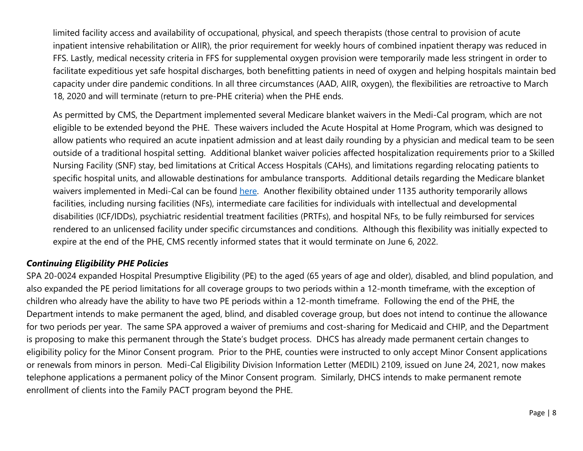<span id="page-10-0"></span>limited facility access and availability of occupational, physical, and speech therapists (those central to provision of acute inpatient intensive rehabilitation or AIIR), the prior requirement for weekly hours of combined inpatient therapy was reduced in FFS. Lastly, medical necessity criteria in FFS for supplemental oxygen provision were temporarily made less stringent in order to facilitate expeditious yet safe hospital discharges, both benefitting patients in need of oxygen and helping hospitals maintain bed capacity under dire pandemic conditions. In all three circumstances (AAD, AIIR, oxygen), the flexibilities are retroactive to March 18, 2020 and will terminate (return to pre-PHE criteria) when the PHE ends.

As permitted by CMS, the Department implemented several Medicare blanket waivers in the Medi-Cal program, which are not eligible to be extended beyond the PHE. These waivers included the Acute Hospital at Home Program, which was designed to allow patients who required an acute inpatient admission and at least daily rounding by a physician and medical team to be seen outside of a traditional hospital setting. Additional blanket waiver policies affected hospitalization requirements prior to a Skilled Nursing Facility (SNF) stay, bed limitations at Critical Access Hospitals (CAHs), and limitations regarding relocating patients to specific hospital units, and allowable destinations for ambulance transports. Additional details regarding the Medicare blanket waivers implemented in Medi-Cal can be found here. Another flexibility obtained under 1135 authority temporarily allows facilities, including nursing facilities (NFs), intermediate care facilities for individuals with intellectual and developmental disabilities (ICF/IDDs), psychiatric residential treatment facilities (PRTFs), and hospital NFs, to be fully reimbursed for services rendered to an unlicensed facility under specific circumstances and conditions. Although this flexibility was initially expected to expire at the end of the PHE, CMS recently informed states that it would terminate on June 6, 2022.

#### *Continuing Eligibility PHE Policies*

SPA 20-0024 expanded Hospital Presumptive Eligibility (PE) to the aged (65 years of age and older), disabled, and blind population, and also expanded the PE period limitations for all coverage groups to two periods within a 12-month timeframe, with the exception of children who already have the ability to have two PE periods within a 12-month timeframe. Following the end of the PHE, the Department intends to make permanent the aged, blind, and disabled coverage group, but does not intend to continue the allowance for two periods per year. The same SPA approved a waiver of premiums and cost-sharing for Medicaid and CHIP, and the Department is proposing to make this permanent through the State's budget process. DHCS has already made permanent certain changes to eligibility policy for the Minor Consent program. Prior to the PHE, counties were instructed to only accept Minor Consent applications or renewals from minors in person. Medi-Cal Eligibility Division Information Letter (MEDIL) 2109, issued on June 24, 2021, now makes telephone applications a permanent policy of the Minor Consent program. Similarly, DHCS intends to make permanent remote enrollment of clients into the Family PACT program beyond the PHE.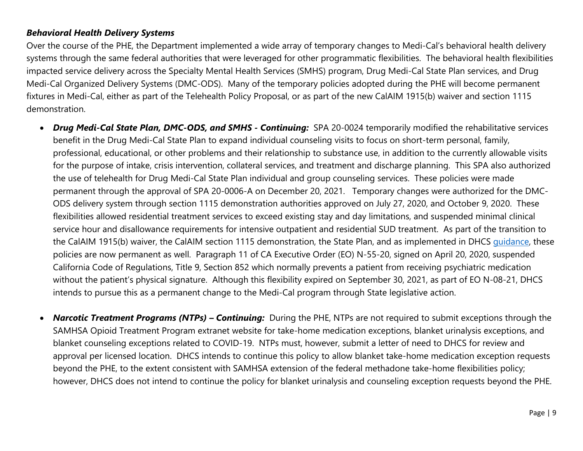#### <span id="page-11-0"></span>*Behavioral Health Delivery Systems*

Over the course of the PHE, the Department implemented a wide array of temporary changes to Medi-Cal's behavioral health delivery systems through the same federal authorities that were leveraged for other programmatic flexibilities. The behavioral health flexibilities impacted service delivery across the Specialty Mental Health Services (SMHS) program, Drug Medi-Cal State Plan services, and Drug Medi-Cal Organized Delivery Systems (DMC-ODS). Many of the temporary policies adopted during the PHE will become permanent fixtures in Medi-Cal, either as part of the Telehealth Policy Proposal, or as part of the new CalAIM 1915(b) waiver and section 1115 demonstration.

- *Drug Medi-Cal State Plan, DMC-ODS, and SMHS - Continuing:* SPA 20-0024 temporarily modified the rehabilitative services benefit in the Drug Medi-Cal State Plan to expand individual counseling visits to focus on short-term personal, family, professional, educational, or other problems and their relationship to substance use, in addition to the currently allowable visits for the purpose of intake, crisis intervention, collateral services, and treatment and discharge planning. This SPA also authorized the use of telehealth for Drug Medi-Cal State Plan individual and group counseling services. These policies were made permanent through the approval of SPA 20-0006-A on December 20, 2021. Temporary changes were authorized for the DMC-ODS delivery system through section 1115 demonstration authorities approved on July 27, 2020, and October 9, 2020. These flexibilities allowed residential treatment services to exceed existing stay and day limitations, and suspended minimal clinical service hour and disallowance requirements for intensive outpatient and residential SUD treatment. As part of the transition to the CalAIM 1915(b) waiver, the CalAIM section 1115 demonstration, the State Plan, and as implemented in DHCS quidance, these policies are now permanent as well. Paragraph 11 of CA Executive Order (EO) N-55-20, signed on April 20, 2020, suspended California Code of Regulations, Title 9, Section 852 which normally prevents a patient from receiving psychiatric medication without the patient's physical signature. Although this flexibility expired on September 30, 2021, as part of EO N-08-21, DHCS intends to pursue this as a permanent change to the Medi-Cal program through State legislative action.
- *Narcotic Treatment Programs (NTPs) Continuing:* During the PHE, NTPs are not required to submit exceptions through the SAMHSA Opioid Treatment Program extranet website for take-home medication exceptions, blanket urinalysis exceptions, and blanket counseling exceptions related to COVID-19. NTPs must, however, submit a letter of need to DHCS for review and approval per licensed location. DHCS intends to continue this policy to allow blanket take-home medication exception requests beyond the PHE, to the extent consistent with SAMHSA extension of the federal methadone take-home flexibilities policy; however, DHCS does not intend to continue the policy for blanket urinalysis and counseling exception requests beyond the PHE.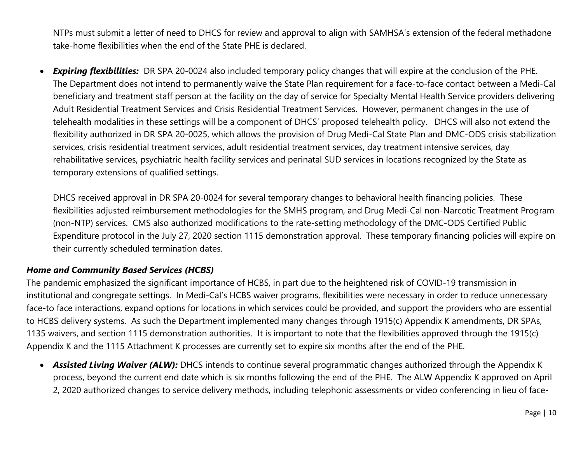<span id="page-12-0"></span>NTPs must submit a letter of need to DHCS for review and approval to align with SAMHSA's extension of the federal methadone take-home flexibilities when the end of the State PHE is declared.

• *Expiring flexibilities:* DR SPA 20-0024 also included temporary policy changes that will expire at the conclusion of the PHE. The Department does not intend to permanently waive the State Plan requirement for a face-to-face contact between a Medi-Cal beneficiary and treatment staff person at the facility on the day of service for Specialty Mental Health Service providers delivering Adult Residential Treatment Services and Crisis Residential Treatment Services. However, permanent changes in the use of telehealth modalities in these settings will be a component of DHCS' proposed telehealth policy. DHCS will also not extend the flexibility authorized in DR SPA 20-0025, which allows the provision of Drug Medi-Cal State Plan and DMC-ODS crisis stabilization services, crisis residential treatment services, adult residential treatment services, day treatment intensive services, day rehabilitative services, psychiatric health facility services and perinatal SUD services in locations recognized by the State as temporary extensions of qualified settings.

DHCS received approval in DR SPA 20-0024 for several temporary changes to behavioral health financing policies. These flexibilities adjusted reimbursement methodologies for the SMHS program, and Drug Medi-Cal non-Narcotic Treatment Program (non-NTP) services. CMS also authorized modifications to the rate-setting methodology of the DMC-ODS Certified Public Expenditure protocol in the July 27, 2020 section 1115 demonstration approval. These temporary financing policies will expire on their currently scheduled termination dates.

#### *Home and Community Based Services (HCBS)*

The pandemic emphasized the significant importance of HCBS, in part due to the heightened risk of COVID-19 transmission in institutional and congregate settings. In Medi-Cal's HCBS waiver programs, flexibilities were necessary in order to reduce unnecessary face-to face interactions, expand options for locations in which services could be provided, and support the providers who are essential to HCBS delivery systems. As such the Department implemented many changes through 1915(c) Appendix K amendments, DR SPAs, 1135 waivers, and section 1115 demonstration authorities. It is important to note that the flexibilities approved through the 1915(c) Appendix K and the 1115 Attachment K processes are currently set to expire six months after the end of the PHE.

• *Assisted Living Waiver (ALW):* DHCS intends to continue several programmatic changes authorized through the Appendix K process, beyond the current end date which is six months following the end of the PHE. The ALW Appendix K approved on April 2, 2020 authorized changes to service delivery methods, including telephonic assessments or video conferencing in lieu of face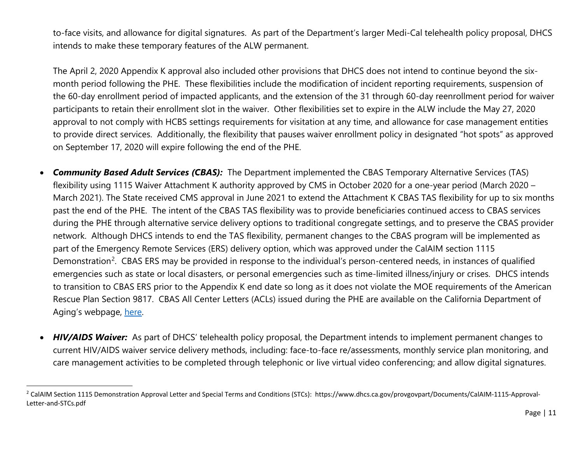<span id="page-13-0"></span>to-face visits, and allowance for digital signatures. As part of the Department's larger Medi-Cal telehealth policy proposal, DHCS intends to make these temporary features of the ALW permanent.

The April 2, 2020 Appendix K approval also included other provisions that DHCS does not intend to continue beyond the sixmonth period following the PHE. These flexibilities include the modification of incident reporting requirements, suspension of the 60-day enrollment period of impacted applicants, and the extension of the 31 through 60-day reenrollment period for waiver participants to retain their enrollment slot in the waiver. Other flexibilities set to expire in the ALW include the May 27, 2020 approval to not comply with HCBS settings requirements for visitation at any time, and allowance for case management entities to provide direct services. Additionally, the flexibility that pauses waiver enrollment policy in designated "hot spots" as approved on September 17, 2020 will expire following the end of the PHE.

- *Community Based Adult Services (CBAS):* The Department implemented the CBAS Temporary Alternative Services (TAS) flexibility using 1115 Waiver Attachment K authority approved by CMS in October 2020 for a one-year period (March 2020 – March 2021). The State received CMS approval in June 2021 to extend the Attachment K CBAS TAS flexibility for up to six months past the end of the PHE. The intent of the CBAS TAS flexibility was to provide beneficiaries continued access to CBAS services during the PHE through alternative service delivery options to traditional congregate settings, and to preserve the CBAS provider network. Although DHCS intends to end the TAS flexibility, permanent changes to the CBAS program will be implemented as part of the Emergency Remote Services (ERS) delivery option, which was approved under the Ca[lAIM](https://aging.ca.gov/download.ashx?lE0rcNUV0zaUUjOXi2VCgQ%3d%3d) section 1115 Demonstration<sup>[2](#page-13-0)</sup>. CBAS ERS may be provided in response to the individual's person-centered needs, in instances of qualified emergencies such as state or local disasters, or personal emergencies such as time-limited illness/injury or crises. DHCS intends to transition to CBAS ERS prior to the Appendix K end date so long as it does not violate the MOE requirements of the American Rescue Plan Section 9817. CBAS All Center Letters (ACLs) issued during the PHE are available on the California Department of Aging's webpage, [here.](https://aging.ca.gov/Providers_and_Partners/Community-Based_Adult_Services/#pp-pm)
- *HIV/AIDS Waiver:* As part of DHCS' telehealth policy proposal, the Department intends to implement permanent changes to current HIV/AIDS waiver service delivery methods, including: face-to-face re/assessments, monthly service plan monitoring, and care management activities to be completed through telephonic or live virtual video conferencing; and allow digital signatures.

 $\overline{\phantom{a}}$ 

<sup>&</sup>lt;sup>2</sup> CalAIM Section 1115 Demonstration Approval Letter and Special Terms and Conditions (STCs): https://www.dhcs.ca.gov/provgovpart/Documents/CalAIM-1115-Approval-Letter-and-STCs.pdf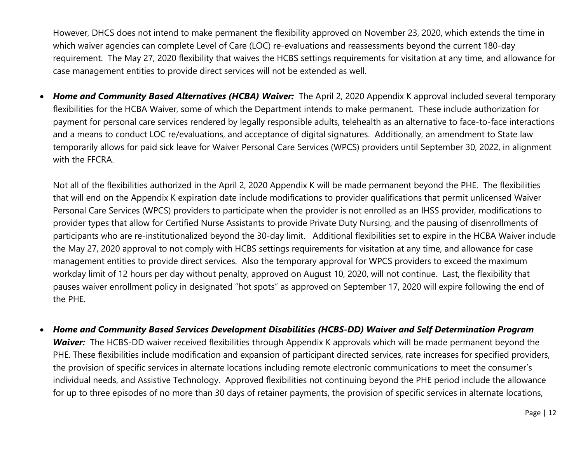However, DHCS does not intend to make permanent the flexibility approved on November 23, 2020, which extends the time in which waiver agencies can complete Level of Care (LOC) re-evaluations and reassessments beyond the current 180-day requirement. The May 27, 2020 flexibility that waives the HCBS settings requirements for visitation at any time, and allowance for case management entities to provide direct services will not be extended as well.

• *Home and Community Based Alternatives (HCBA) Waiver:* The April 2, 2020 Appendix K approval included several temporary flexibilities for the HCBA Waiver, some of which the Department intends to make permanent. These include authorization for payment for personal care services rendered by legally responsible adults, telehealth as an alternative to face-to-face interactions and a means to conduct LOC re/evaluations, and acceptance of digital signatures. Additionally, an amendment to State law temporarily allows for paid sick leave for Waiver Personal Care Services (WPCS) providers until September 30, 2022, in alignment with the FFCRA.

Not all of the flexibilities authorized in the April 2, 2020 Appendix K will be made permanent beyond the PHE. The flexibilities that will end on the Appendix K expiration date include modifications to provider qualifications that permit unlicensed Waiver Personal Care Services (WPCS) providers to participate when the provider is not enrolled as an IHSS provider, modifications to provider types that allow for Certified Nurse Assistants to provide Private Duty Nursing, and the pausing of disenrollments of participants who are re-institutionalized beyond the 30-day limit. Additional flexibilities set to expire in the HCBA Waiver include the May 27, 2020 approval to not comply with HCBS settings requirements for visitation at any time, and allowance for case management entities to provide direct services. Also the temporary approval for WPCS providers to exceed the maximum workday limit of 12 hours per day without penalty, approved on August 10, 2020, will not continue. Last, the flexibility that pauses waiver enrollment policy in designated "hot spots" as approved on September 17, 2020 will expire following the end of the PHE.

• *Home and Community Based Services Development Disabilities (HCBS-DD) Waiver and Self Determination Program Waiver:* The HCBS-DD waiver received flexibilities through Appendix K approvals which will be made permanent beyond the PHE. These flexibilities include modification and expansion of participant directed services, rate increases for specified providers, the provision of specific services in alternate locations including remote electronic communications to meet the consumer's individual needs, and Assistive Technology. Approved flexibilities not continuing beyond the PHE period include the allowance for up to three episodes of no more than 30 days of retainer payments, the provision of specific services in alternate locations,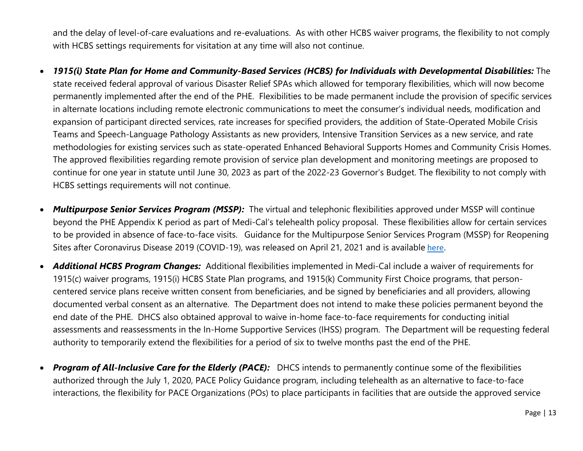and the delay of level-of-care evaluations and re-evaluations. As with other HCBS waiver programs, the flexibility to not comply with HCBS settings requirements for visitation at any time will also not continue.

- *1915(i) State Plan for Home and Community-Based Services (HCBS) for Individuals with Developmental Disabilities:* The state received federal approval of various Disaster Relief SPAs which allowed for temporary flexibilities, which will now become permanently implemented after the end of the PHE. Flexibilities to be made permanent include the provision of specific services in alternate locations including remote electronic communications to meet the consumer's individual needs, modification and expansion of participant directed services, rate increases for specified providers, the addition of State-Operated Mobile Crisis Teams and Speech-Language Pathology Assistants as new providers, Intensive Transition Services as a new service, and rate methodologies for existing services such as state-operated Enhanced Behavioral Supports Homes and Community Crisis Homes. The approved flexibilities regarding remote provision of service plan development and monitoring meetings are proposed to continue for one year in statute until June 30, 2023 as part of the 2022-23 Governor's Budget. The flexibility to not comply with HCBS settings requirements will not continue.
- *Multipurpose Senior Services Program (MSSP):* The virtual and telephonic flexibilities approved under MSSP will continue beyond the PHE Appendix K period as part of Medi-Cal's telehealth policy proposal. These flexibilities allow for certain services to be provided in absence of face-to-face visits. Guidance for the Multipurpose Senior Services Program (MSSP) for Reopening Sites after Coronavirus Disease 2019 (COVID-19), was released on April 21, 2021 and is available here.
- *Additional HCBS Program Changes:* Additional flexibilities implemented in Medi-Cal include a waiver of requirements for 1915(c) waiver programs, 1915(i) HCBS State Plan programs, and 1915(k) Community First Choice programs, that personcentered service plans receive written consent from beneficiaries, and be signed by beneficiaries and all providers, allowing documented verbal consent as an alternative. The Department does not intend to make these policies permanent beyond the end date of the PHE. DHCS also obtained approval to waive in-home face-to-face requirements for conducting initial assessments and reassessments in the In-Home Supportive Services (IHSS) program. The Department will be requesting federal authority to temporarily extend the flexibilities for a period of six to twelve months past the end of the PHE.
- **Program of All-Inclusive Care for the Elderly (PACE):** DHCS intends to permanently continue some of the flexibilities authorized through the July 1, 2020, PACE Policy Guidance program, including telehealth as an alternative to face-to-face interactions, the flexibility for PACE Organizations (POs) to place participants in facilities that are outside the approved service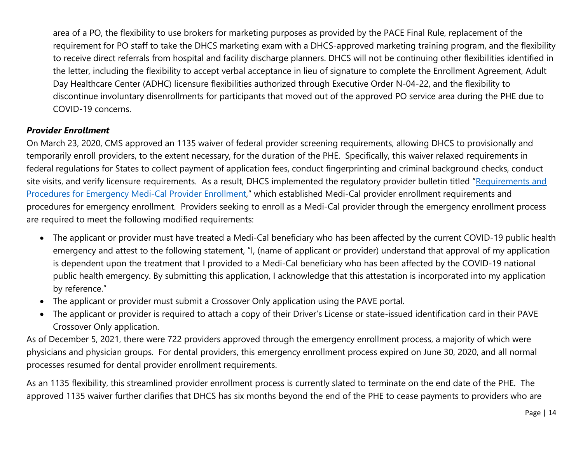<span id="page-16-0"></span>area of a PO, the flexibility to use brokers for marketing purposes as provided by the PACE Final Rule, replacement of the requirement for PO staff to take the DHCS marketing exam with a DHCS-approved marketing training program, and the flexibility to receive direct referrals from hospital and facility discharge planners. DHCS will not be continuing other flexibilities identified in the letter, including the flexibility to accept verbal acceptance in lieu of signature to complete the Enrollment Agreement, Adult Day Healthcare Center (ADHC) licensure flexibilities authorized through Executive Order N-04-22, and the flexibility to discontinue involuntary disenrollments for participants that moved out of the approved PO service area during the PHE due to COVID-19 concerns.

#### *Provider Enrollment*

On March 23, 2020, CMS approved an 1135 waiver of federal provider screening requirements, allowing DHCS to provisionally and temporarily enroll providers, to the extent necessary, for the duration of the PHE. Specifically, this waiver relaxed requirements in federal regulations for States to collect payment of application fees, conduct fingerprinting and criminal background checks, conduct site visits, and verify licensure requirements. As a result, DHCS implemented the regulatory provider bulletin titled "Requirements and [Procedures for Emergency Medi-Cal Provider Enrollment,](https://www.dhcs.ca.gov/Documents/COVID-19/PED-Emergency-Waiver-Bulletin.pdf)" which established Medi-Cal provider enrollment requirements and procedures for emergency enrollment. Providers seeking to enroll as a Medi-Cal provider through the emergency enrollment process are required to meet the following modified requirements:

- The applicant or provider must have treated a Medi-Cal beneficiary who has been affected by the current COVID-19 public health emergency and attest to the following statement, "I, (name of applicant or provider) understand that approval of my application is dependent upon the treatment that I provided to a Medi-Cal beneficiary who has been affected by the COVID-19 national public health emergency. By submitting this application, I acknowledge that this attestation is incorporated into my application by reference."
- The applicant or provider must submit a Crossover Only application using the PAVE portal.
- The applicant or provider is required to attach a copy of their Driver's License or state-issued identification card in their PAVE Crossover Only application.

As of December 5, 2021, there were 722 providers approved through the emergency enrollment process, a majority of which were physicians and physician groups. For dental providers, this emergency enrollment process expired on June 30, 2020, and all normal processes resumed for dental provider enrollment requirements.

As an 1135 flexibility, this streamlined provider enrollment process is currently slated to terminate on the end date of the PHE. The approved 1135 waiver further clarifies that DHCS has six months beyond the end of the PHE to cease payments to providers who are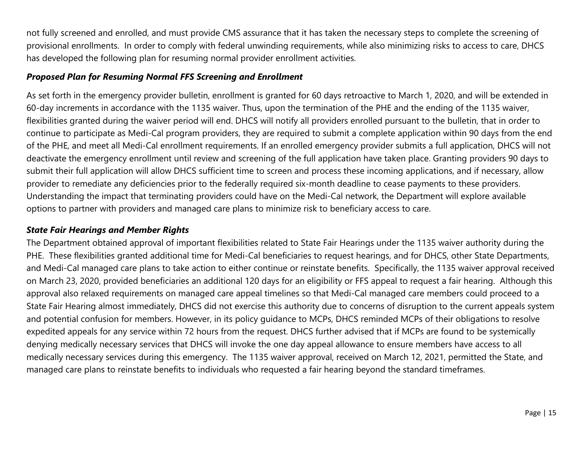<span id="page-17-0"></span>not fully screened and enrolled, and must provide CMS assurance that it has taken the necessary steps to complete the screening of provisional enrollments. In order to comply with federal unwinding requirements, while also minimizing risks to access to care, DHCS has developed the following plan for resuming normal provider enrollment activities.

#### *Proposed Plan for Resuming Normal FFS Screening and Enrollment*

As set forth in the emergency provider bulletin, enrollment is granted for 60 days retroactive to March 1, 2020, and will be extended in 60-day increments in accordance with the 1135 waiver. Thus, upon the termination of the PHE and the ending of the 1135 waiver, flexibilities granted during the waiver period will end. DHCS will notify all providers enrolled pursuant to the bulletin, that in order to continue to participate as Medi-Cal program providers, they are required to submit a complete application within 90 days from the end of the PHE, and meet all Medi-Cal enrollment requirements. If an enrolled emergency provider submits a full application, DHCS will not deactivate the emergency enrollment until review and screening of the full application have taken place. Granting providers 90 days to submit their full application will allow DHCS sufficient time to screen and process these incoming applications, and if necessary, allow provider to remediate any deficiencies prior to the federally required six-month deadline to cease payments to these providers. Understanding the impact that terminating providers could have on the Medi-Cal network, the Department will explore available options to partner with providers and managed care plans to minimize risk to beneficiary access to care.

#### *State Fair Hearings and Member Rights*

The Department obtained approval of important flexibilities related to State Fair Hearings under the 1135 waiver authority during the PHE. These flexibilities granted additional time for Medi-Cal beneficiaries to request hearings, and for DHCS, other State Departments, and Medi-Cal managed care plans to take action to either continue or reinstate benefits. Specifically, the 1135 waiver approval received on March 23, 2020, provided beneficiaries an additional 120 days for an eligibility or FFS appeal to request a fair hearing. Although this approval also relaxed requirements on managed care appeal timelines so that Medi-Cal managed care members could proceed to a State Fair Hearing almost immediately, DHCS did not exercise this authority due to concerns of disruption to the current appeals system and potential confusion for members. However, in its policy guidance to MCPs, DHCS reminded MCPs of their obligations to resolve expedited appeals for any service within 72 hours from the request. DHCS further advised that if MCPs are found to be systemically denying medically necessary services that DHCS will invoke the one day appeal allowance to ensure members have access to all medically necessary services during this emergency. The 1135 waiver approval, received on March 12, 2021, permitted the State, and managed care plans to reinstate benefits to individuals who requested a fair hearing beyond the standard timeframes.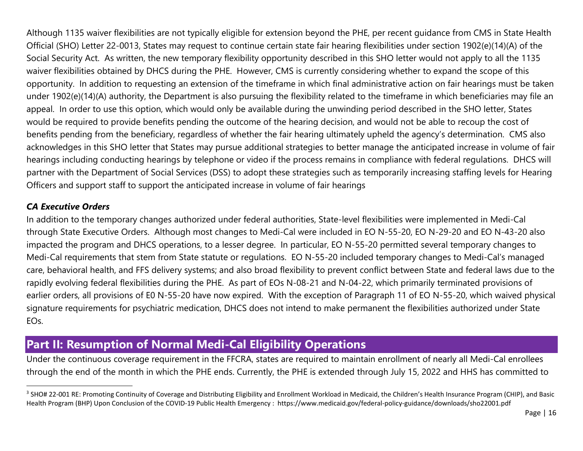<span id="page-18-0"></span>Although 1135 waiver flexibilities are not typically eligible for extension beyond the PHE, per recent guidance from CMS in State Health Official (SHO) Letter 22-0013, States may request to continue certain state fair hearing flexibilities under section 1902(e)(14)(A) of the Social Security Act. As written, the new temporary flexibility opportunity described in this SHO letter would not apply to all the 1135 waiver flexibilities obtained by DHCS during the PHE. However, CMS is currently considering whether to expand the scope of this opportunity. In addition to requesting an extension of the timeframe in which final administrative action on fair hearings must be taken under 1902(e)(14)(A) authority, the Department is also pursuing the flexibility related to the timeframe in which beneficiaries may file an appeal. In order to use this option, which would only be available during the unwinding period described in the SHO letter, States would be required to provide benefits pending the outcome of the hearing decision, and would not be able to recoup the cost of benefits pending from the beneficiary, regardless of whether the fair hearing ultimately upheld the agency's determination. CMS also acknowledges in this SHO letter that States may pursue additional strategies to better manage the anticipated increase in volume of fair hearings including conducting hearings by telephone or video if the process remains in compliance with federal regulations. DHCS will partner with the Department of Social Services (DSS) to adopt these strategies such as temporarily increasing staffing levels for Hearing Officers and support staff to support the anticipated increase in volume of fair hearings

#### *CA Executive Orders*

 $\overline{\phantom{a}}$ 

In addition to the temporary changes authorized under federal authorities, State-level flexibilities were implemented in Medi-Cal through State Executive Orders. Although most changes to Medi-Cal were included in EO N-55-20, EO N-29-20 and EO N-43-20 also impacted the program and DHCS operations, to a lesser degree. In particular, EO N-55-20 permitted several temporary changes to Medi-Cal requirements that stem from State statute or regulations. EO N-55-20 included temporary changes to Medi-Cal's managed care, behavioral health, and FFS delivery systems; and also broad flexibility to prevent conflict between State and federal laws due to the rapidly evolving federal flexibilities during the PHE. As part of EOs N-08-21 and N-04-22, which primarily terminated provisions of earlier orders, all provisions of E0 N-55-20 have now expired. With the exception of Paragraph 11 of EO N-55-20, which waived physical signature requirements for psychiatric medication, DHCS does not intend to make permanent the flexibilities authorized under State EOs.

## **Part II: Resumption of Normal Medi-Cal Eligibility Operations**

Under the continuous coverage requirement in the FFCRA, states are required to maintain enrollment of nearly all Medi-Cal enrollees through the end of the month in which the PHE ends. Currently, the PHE is extended through July 15, 2022 and HHS has committed to

<sup>&</sup>lt;sup>3</sup> SHO# 22-001 RE: Promoting Continuity of Coverage and Distributing Eligibility and Enrollment Workload in Medicaid, the Children's Health Insurance Program (CHIP), and Basic Health Program (BHP) Upon Conclusion of the COVID-19 Public Health Emergency : https://www.medicaid.gov/federal-policy-guidance/downloads/sho22001.pdf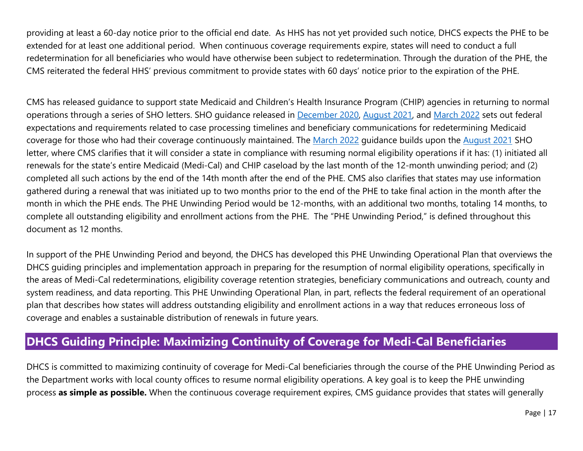<span id="page-19-0"></span>providing at least a 60-day notice prior to the official end date. As HHS has not yet provided such notice, DHCS expects the PHE to be extended for at least one additional period. When continuous coverage requirements expire, states will need to conduct a full redetermination for all beneficiaries who would have otherwise been subject to redetermination. Through the duration of the PHE, the CMS reiterated the federal HHS' previous commitment to provide states with 60 days' notice prior to the expiration of the PHE.

CMS has released guidance to support state Medicaid and Children's Health Insurance Program (CHIP) agencies in returning to normal operations through a series of SHO letters. SHO guidance released in [December 2020,](https://www.medicaid.gov/federal-policy-guidance/downloads/sho20004.pdf) [August 2021,](https://www.medicaid.gov/federal-policy-guidance/downloads/sho-21-002.pdf) and [March 2022](https://www.medicaid.gov/federal-policy-guidance/downloads/sho22001.pdf) sets out federal expectations and requirements related to case processing timelines and beneficiary communications for redetermining Medicaid coverage for those who had their coverage continuously maintained. The [March 2022](https://www.medicaid.gov/federal-policy-guidance/downloads/sho22001.pdf) guidance builds upon the [August 2021](https://www.medicaid.gov/federal-policy-guidance/downloads/sho-21-002.pdf) SHO letter, where CMS clarifies that it will consider a state in compliance with resuming normal eligibility operations if it has: (1) initiated all renewals for the state's entire Medicaid (Medi-Cal) and CHIP caseload by the last month of the 12-month unwinding period; and (2) completed all such actions by the end of the 14th month after the end of the PHE. CMS also clarifies that states may use information gathered during a renewal that was initiated up to two months prior to the end of the PHE to take final action in the month after the month in which the PHE ends. The PHE Unwinding Period would be 12-months, with an additional two months, totaling 14 months, to complete all outstanding eligibility and enrollment actions from the PHE. The "PHE Unwinding Period," is defined throughout this document as 12 months.

In support of the PHE Unwinding Period and beyond, the DHCS has developed this PHE Unwinding Operational Plan that overviews the DHCS guiding principles and implementation approach in preparing for the resumption of normal eligibility operations, specifically in the areas of Medi-Cal redeterminations, eligibility coverage retention strategies, beneficiary communications and outreach, county and system readiness, and data reporting. This PHE Unwinding Operational Plan, in part, reflects the federal requirement of an operational plan that describes how states will address outstanding eligibility and enrollment actions in a way that reduces erroneous loss of coverage and enables a sustainable distribution of renewals in future years.

## **DHCS Guiding Principle: Maximizing Continuity of Coverage for Medi-Cal Beneficiaries**

DHCS is committed to maximizing continuity of coverage for Medi-Cal beneficiaries through the course of the PHE Unwinding Period as the Department works with local county offices to resume normal eligibility operations. A key goal is to keep the PHE unwinding process **as simple as possible.** When the continuous coverage requirement expires, CMS guidance provides that states will generally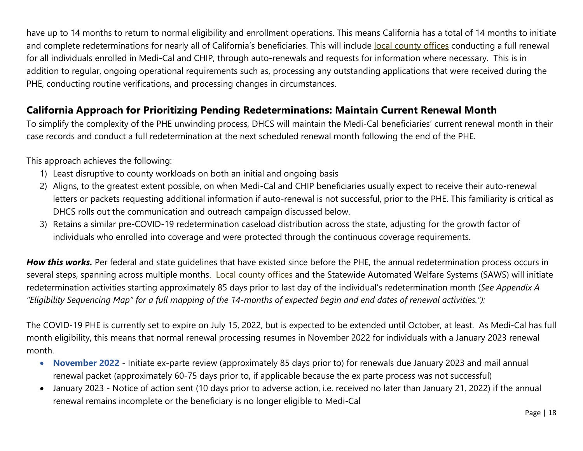have up to 14 months to return to normal eligibility and enrollment operations. This means California has a total of 14 months to initiate and complete redeterminations for nearly all of California's beneficiaries. This will include local county offices conducting a full renewal for all individuals enrolled in Medi-Cal and CHIP, through auto-renewals and requests for information where necessary. This is in addition to regular, ongoing operational requirements such as, processing any outstanding applications that were received during the PHE, conducting routine verifications, and processing changes in circumstances.

#### **California Approach for Prioritizing Pending Redeterminations: Maintain Current Renewal Month**

To simplify the complexity of the PHE unwinding process, DHCS will maintain the Medi-Cal beneficiaries' current renewal month in their case records and conduct a full redetermination at the next scheduled renewal month following the end of the PHE.

This approach achieves the following:

- 1) Least disruptive to county workloads on both an initial and ongoing basis
- 2) Aligns, to the greatest extent possible, on when Medi-Cal and CHIP beneficiaries usually expect to receive their auto-renewal letters or packets requesting additional information if auto-renewal is not successful, prior to the PHE. This familiarity is critical as DHCS rolls out the communication and outreach campaign discussed below.
- 3) Retains a similar pre-COVID-19 redetermination caseload distribution across the state, adjusting for the growth factor of individuals who enrolled into coverage and were protected through the continuous coverage requirements.

*How this works.* Per federal and state guidelines that have existed since before the PHE, the annual redetermination process occurs in several steps, spanning across multiple months. Local county offices and the Statewide Automated Welfare Systems (SAWS) will initiate redetermination activities starting approximately 85 days prior to last day of the individual's redetermination month (*See Appendix A "Eligibility Sequencing Map" for a full mapping of the 14-months of expected begin and end dates of renewal activities."):*

The COVID-19 PHE is currently set to expire on July 15, 2022, but is expected to be extended until October, at least. As Medi-Cal has full month eligibility, this means that normal renewal processing resumes in November 2022 for individuals with a January 2023 renewal month.

- **November 2022** Initiate ex-parte review (approximately 85 days prior to) for renewals due January 2023 and mail annual renewal packet (approximately 60-75 days prior to, if applicable because the ex parte process was not successful)
- January 2023 Notice of action sent (10 days prior to adverse action, i.e. received no later than January 21, 2022) if the annual renewal remains incomplete or the beneficiary is no longer eligible to Medi-Cal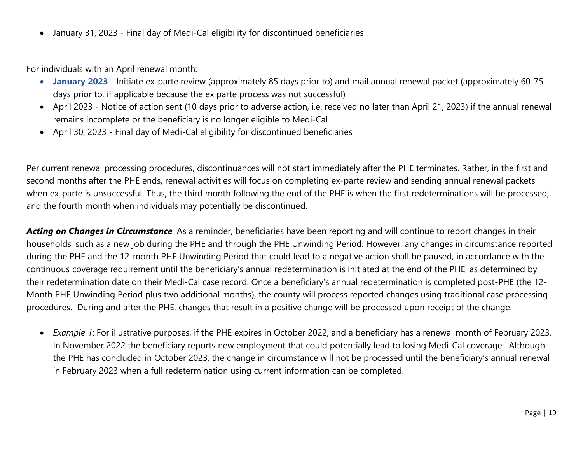• January 31, 2023 - Final day of Medi-Cal eligibility for discontinued beneficiaries

For individuals with an April renewal month:

- **January 2023** Initiate ex-parte review (approximately 85 days prior to) and mail annual renewal packet (approximately 60-75 days prior to, if applicable because the ex parte process was not successful)
- April 2023 Notice of action sent (10 days prior to adverse action, i.e. received no later than April 21, 2023) if the annual renewal remains incomplete or the beneficiary is no longer eligible to Medi-Cal
- April 30, 2023 Final day of Medi-Cal eligibility for discontinued beneficiaries

Per current renewal processing procedures, discontinuances will not start immediately after the PHE terminates. Rather, in the first and second months after the PHE ends, renewal activities will focus on completing ex-parte review and sending annual renewal packets when ex-parte is unsuccessful. Thus, the third month following the end of the PHE is when the first redeterminations will be processed, and the fourth month when individuals may potentially be discontinued.

*Acting on Changes in Circumstance.* As a reminder, beneficiaries have been reporting and will continue to report changes in their households, such as a new job during the PHE and through the PHE Unwinding Period. However, any changes in circumstance reported during the PHE and the 12-month PHE Unwinding Period that could lead to a negative action shall be paused, in accordance with the continuous coverage requirement until the beneficiary's annual redetermination is initiated at the end of the PHE, as determined by their redetermination date on their Medi-Cal case record. Once a beneficiary's annual redetermination is completed post-PHE (the 12- Month PHE Unwinding Period plus two additional months), the county will process reported changes using traditional case processing procedures. During and after the PHE, changes that result in a positive change will be processed upon receipt of the change.

• *Example 1*: For illustrative purposes, if the PHE expires in October 2022, and a beneficiary has a renewal month of February 2023. In November 2022 the beneficiary reports new employment that could potentially lead to losing Medi-Cal coverage. Although the PHE has concluded in October 2023, the change in circumstance will not be processed until the beneficiary's annual renewal in February 2023 when a full redetermination using current information can be completed.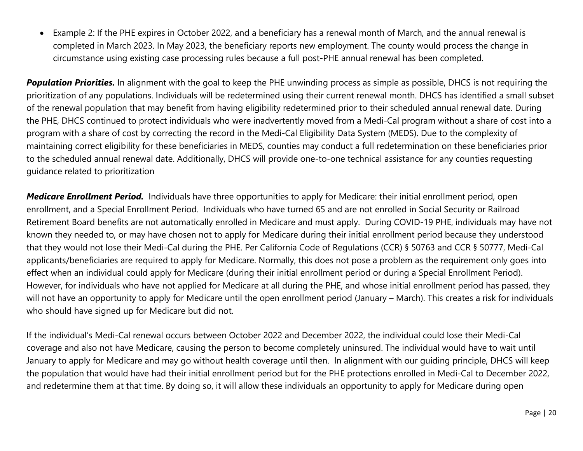• Example 2: If the PHE expires in October 2022, and a beneficiary has a renewal month of March, and the annual renewal is completed in March 2023. In May 2023, the beneficiary reports new employment. The county would process the change in circumstance using existing case processing rules because a full post-PHE annual renewal has been completed.

*Population Priorities.* In alignment with the goal to keep the PHE unwinding process as simple as possible, DHCS is not requiring the prioritization of any populations. Individuals will be redetermined using their current renewal month. DHCS has identified a small subset of the renewal population that may benefit from having eligibility redetermined prior to their scheduled annual renewal date. During the PHE, DHCS continued to protect individuals who were inadvertently moved from a Medi-Cal program without a share of cost into a program with a share of cost by correcting the record in the Medi-Cal Eligibility Data System (MEDS). Due to the complexity of maintaining correct eligibility for these beneficiaries in MEDS, counties may conduct a full redetermination on these beneficiaries prior to the scheduled annual renewal date. Additionally, DHCS will provide one-to-one technical assistance for any counties requesting guidance related to prioritization

*Medicare Enrollment Period.* Individuals have three opportunities to apply for Medicare: their initial enrollment period, open enrollment, and a Special Enrollment Period. Individuals who have turned 65 and are not enrolled in Social Security or Railroad Retirement Board benefits are not automatically enrolled in Medicare and must apply. During COVID-19 PHE, individuals may have not known they needed to, or may have chosen not to apply for Medicare during their initial enrollment period because they understood that they would not lose their Medi-Cal during the PHE. Per California Code of Regulations (CCR) § 50763 and CCR § 50777, Medi-Cal applicants/beneficiaries are required to apply for Medicare. Normally, this does not pose a problem as the requirement only goes into effect when an individual could apply for Medicare (during their initial enrollment period or during a Special Enrollment Period). However, for individuals who have not applied for Medicare at all during the PHE, and whose initial enrollment period has passed, they will not have an opportunity to apply for Medicare until the open enrollment period (January – March). This creates a risk for individuals who should have signed up for Medicare but did not.

If the individual's Medi-Cal renewal occurs between October 2022 and December 2022, the individual could lose their Medi-Cal coverage and also not have Medicare, causing the person to become completely uninsured. The individual would have to wait until January to apply for Medicare and may go without health coverage until then. In alignment with our guiding principle, DHCS will keep the population that would have had their initial enrollment period but for the PHE protections enrolled in Medi-Cal to December 2022, and redetermine them at that time. By doing so, it will allow these individuals an opportunity to apply for Medicare during open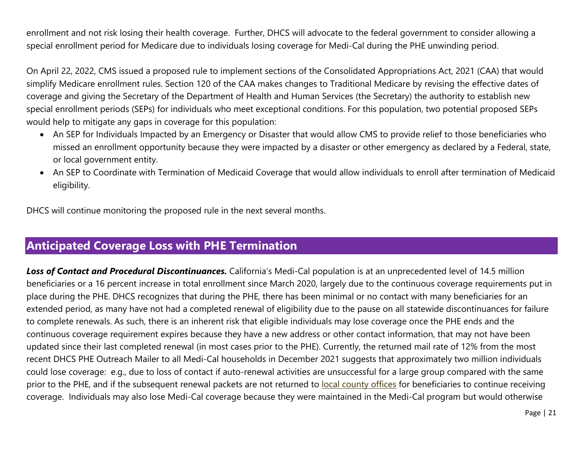<span id="page-23-0"></span>enrollment and not risk losing their health coverage. Further, DHCS will advocate to the federal government to consider allowing a special enrollment period for Medicare due to individuals losing coverage for Medi-Cal during the PHE unwinding period.

On April 22, 2022, CMS issued a proposed rule to implement sections of the Consolidated Appropriations Act, 2021 (CAA) that would simplify Medicare enrollment rules. Section 120 of the CAA makes changes to Traditional Medicare by revising the effective dates of coverage and giving the Secretary of the Department of Health and Human Services (the Secretary) the authority to establish new special enrollment periods (SEPs) for individuals who meet exceptional conditions. For this population, two potential proposed SEPs would help to mitigate any gaps in coverage for this population:

- An SEP for Individuals Impacted by an Emergency or Disaster that would allow CMS to provide relief to those beneficiaries who missed an enrollment opportunity because they were impacted by a disaster or other emergency as declared by a Federal, state, or local government entity.
- An SEP to Coordinate with Termination of Medicaid Coverage that would allow individuals to enroll after termination of Medicaid eligibility.

DHCS will continue monitoring the proposed rule in the next several months.

## **Anticipated Coverage Loss with PHE Termination**

*Loss of Contact and Procedural Discontinuances.* California's Medi-Cal population is at an unprecedented level of 14.5 million beneficiaries or a 16 percent increase in total enrollment since March 2020, largely due to the continuous coverage requirements put in place during the PHE. DHCS recognizes that during the PHE, there has been minimal or no contact with many beneficiaries for an extended period, as many have not had a completed renewal of eligibility due to the pause on all statewide discontinuances for failure to complete renewals. As such, there is an inherent risk that eligible individuals may lose coverage once the PHE ends and the continuous coverage requirement expires because they have a new address or other contact information, that may not have been updated since their last completed renewal (in most cases prior to the PHE). Currently, the returned mail rate of 12% from the most recent DHCS PHE Outreach Mailer to all Medi-Cal households in December 2021 suggests that approximately two million individuals could lose coverage: e.g., due to loss of contact if auto-renewal activities are unsuccessful for a large group compared with the same prior to the PHE, and if the subsequent renewal packets are not returned to local county offices for beneficiaries to continue receiving coverage. Individuals may also lose Medi-Cal coverage because they were maintained in the Medi-Cal program but would otherwise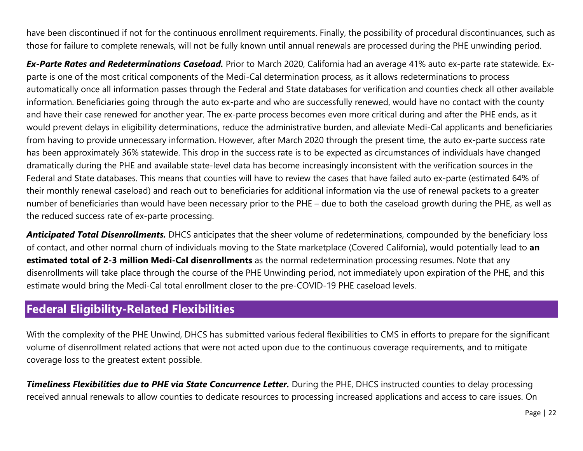<span id="page-24-0"></span>have been discontinued if not for the continuous enrollment requirements. Finally, the possibility of procedural discontinuances, such as those for failure to complete renewals, will not be fully known until annual renewals are processed during the PHE unwinding period.

*Ex-Parte Rates and Redeterminations Caseload.* Prior to March 2020, California had an average 41% auto ex-parte rate statewide. Exparte is one of the most critical components of the Medi-Cal determination process, as it allows redeterminations to process automatically once all information passes through the Federal and State databases for verification and counties check all other available information. Beneficiaries going through the auto ex-parte and who are successfully renewed, would have no contact with the county and have their case renewed for another year. The ex-parte process becomes even more critical during and after the PHE ends, as it would prevent delays in eligibility determinations, reduce the administrative burden, and alleviate Medi-Cal applicants and beneficiaries from having to provide unnecessary information. However, after March 2020 through the present time, the auto ex-parte success rate has been approximately 36% statewide. This drop in the success rate is to be expected as circumstances of individuals have changed dramatically during the PHE and available state-level data has become increasingly inconsistent with the verification sources in the Federal and State databases. This means that counties will have to review the cases that have failed auto ex-parte (estimated 64% of their monthly renewal caseload) and reach out to beneficiaries for additional information via the use of renewal packets to a greater number of beneficiaries than would have been necessary prior to the PHE – due to both the caseload growth during the PHE, as well as the reduced success rate of ex-parte processing.

*Anticipated Total Disenrollments.* DHCS anticipates that the sheer volume of redeterminations, compounded by the beneficiary loss of contact, and other normal churn of individuals moving to the State marketplace (Covered California), would potentially lead to **an estimated total of 2-3 million Medi-Cal disenrollments** as the normal redetermination processing resumes. Note that any disenrollments will take place through the course of the PHE Unwinding period, not immediately upon expiration of the PHE, and this estimate would bring the Medi-Cal total enrollment closer to the pre-COVID-19 PHE caseload levels.

## **Federal Eligibility-Related Flexibilities**

With the complexity of the PHE Unwind, DHCS has submitted various federal flexibilities to CMS in efforts to prepare for the significant volume of disenrollment related actions that were not acted upon due to the continuous coverage requirements, and to mitigate coverage loss to the greatest extent possible.

**Timeliness Flexibilities due to PHE via State Concurrence Letter.** During the PHE, DHCS instructed counties to delay processing received annual renewals to allow counties to dedicate resources to processing increased applications and access to care issues. On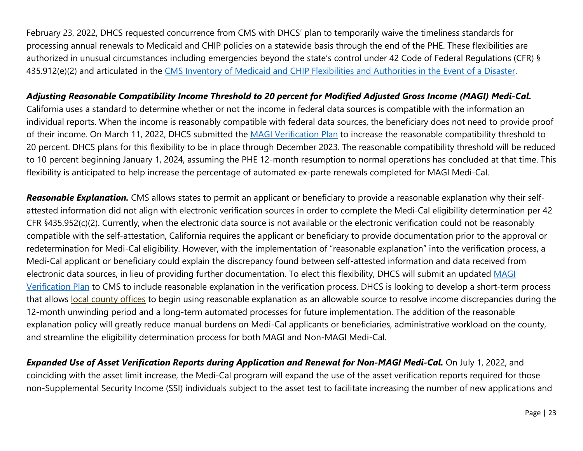February 23, 2022, DHCS requested concurrence from CMS with DHCS' plan to temporarily waive the timeliness standards for processing annual renewals to Medicaid and CHIP policies on a statewide basis through the end of the PHE. These flexibilities are authorized in unusual circumstances including emergencies beyond the state's control under 42 Code of Federal Regulations (CFR) § 435.912(e)(2) and articulated in the CMS Inventory of [Medicaid and CHIP Flexibilities and Authorities in the Event of a Disaster.](https://www.medicaid.gov/state-resource-center/downloads/mac-learning-collaboratives/medicaid-chip-inventory.pdf)

#### *Adjusting Reasonable Compatibility Income Threshold to 20 percent for Modified Adjusted Gross Income (MAGI) Medi-Cal.*

California uses a standard to determine whether or not the income in federal data sources is compatible with the information an individual reports. When the income is reasonably compatible with federal data sources, the beneficiary does not need to provide proof of their income. On March 11, 2022, DHCS submitted the [MAGI Verification Plan](https://www.dhcs.ca.gov/Documents/CA-MAGIBasedVrfictnPlnFinal.pdf) to increase the reasonable compatibility threshold to 20 percent. DHCS plans for this flexibility to be in place through December 2023. The reasonable compatibility threshold will be reduced to 10 percent beginning January 1, 2024, assuming the PHE 12-month resumption to normal operations has concluded at that time. This flexibility is anticipated to help increase the percentage of automated ex-parte renewals completed for MAGI Medi-Cal.

*Reasonable Explanation.* CMS allows states to permit an applicant or beneficiary to provide a reasonable explanation why their selfattested information did not align with electronic verification sources in order to complete the Medi-Cal eligibility determination per [42](https://www.law.cornell.edu/cfr/text/42/435.952)  [CFR §435.952\(c\)\(2\).](https://www.law.cornell.edu/cfr/text/42/435.952) Currently, when the electronic data source is not available or the electronic verification could not be reasonably compatible with the self-attestation, California requires the applicant or beneficiary to provide documentation prior to the approval or redetermination for Medi-Cal eligibility. However, with the implementation of "reasonable explanation" into the verification process, a Medi-Cal applicant or beneficiary could explain the discrepancy found between self-attested information and data received from electronic data sources, in lieu of providing further documentation. To elect this flexibility, DHCS will submit an updated [MAGI](https://www.dhcs.ca.gov/Documents/CA-MAGIBasedVrfictnPlnFinal.pdf)  [Verification Plan](https://www.dhcs.ca.gov/Documents/CA-MAGIBasedVrfictnPlnFinal.pdf) to CMS to include reasonable explanation in the verification process. DHCS is looking to develop a short-term process that allows local county offices to begin using reasonable explanation as an allowable source to resolve income discrepancies during the 12-month unwinding period and a long-term automated processes for future implementation. The addition of the reasonable explanation policy will greatly reduce manual burdens on Medi-Cal applicants or beneficiaries, administrative workload on the county, and streamline the eligibility determination process for both MAGI and Non-MAGI Medi-Cal.

*Expanded Use of Asset Verification Reports during Application and Renewal for Non-MAGI Medi-Cal.* On July 1, 2022, and coinciding with the asset limit increase, the Medi-Cal program will expand the use of the asset verification reports required for those non-Supplemental Security Income (SSI) individuals subject to the asset test to facilitate increasing the number of new applications and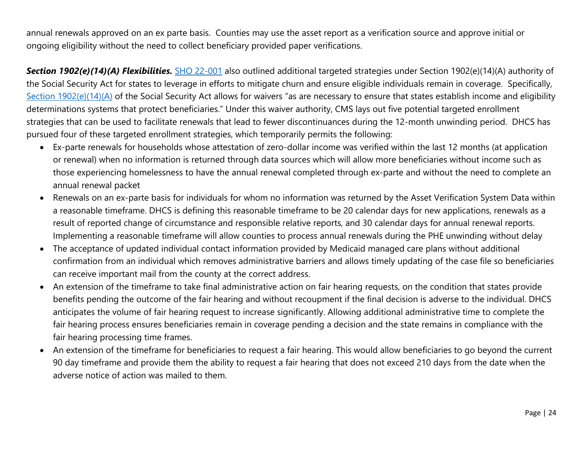annual renewals approved on an ex parte basis. Counties may use the asset report as a verification source and approve initial or ongoing eligibility without the need to collect beneficiary provided paper verifications.

*Section 1902(e)(14)(A) Flexibilities.* [SHO 22-001](https://www.medicaid.gov/federal-policy-guidance/downloads/sho22001.pdf) also outlined additional targeted strategies under Section 1902(e)(14)(A) authority of the Social Security Act for states to leverage in efforts to mitigate churn and ensure eligible individuals remain in coverage. Specifically, [Section 1902\(e\)\(14\)\(A\)](https://www.ssa.gov/OP_Home/ssact/title19/1902.htm) of the Social Security Act allows for waivers "as are necessary to ensure that states establish income and eligibility determinations systems that protect beneficiaries." Under this waiver authority, CMS lays out five potential targeted enrollment strategies that can be used to facilitate renewals that lead to fewer discontinuances during the 12-month unwinding period. DHCS has pursued four of these targeted enrollment strategies, which temporarily permits the following:

- Ex-parte renewals for households whose attestation of zero-dollar income was verified within the last 12 months (at application or renewal) when no information is returned through data sources which will allow more beneficiaries without income such as those experiencing homelessness to have the annual renewal completed through ex-parte and without the need to complete an annual renewal packet
- Renewals on an ex-parte basis for individuals for whom no information was returned by the Asset Verification System Data within a reasonable timeframe. DHCS is defining this reasonable timeframe to be 20 calendar days for new applications, renewals as a result of reported change of circumstance and responsible relative reports, and 30 calendar days for annual renewal reports. Implementing a reasonable timeframe will allow counties to process annual renewals during the PHE unwinding without delay
- The acceptance of updated individual contact information provided by Medicaid managed care plans without additional confirmation from an individual which removes administrative barriers and allows timely updating of the case file so beneficiaries can receive important mail from the county at the correct address.
- An extension of the timeframe to take final administrative action on fair hearing requests, on the condition that states provide benefits pending the outcome of the fair hearing and without recoupment if the final decision is adverse to the individual. DHCS anticipates the volume of fair hearing request to increase significantly. Allowing additional administrative time to complete the fair hearing process ensures beneficiaries remain in coverage pending a decision and the state remains in compliance with the fair hearing processing time frames.
- An extension of the timeframe for beneficiaries to request a fair hearing. This would allow beneficiaries to go beyond the current 90 day timeframe and provide them the ability to request a fair hearing that does not exceed 210 days from the date when the adverse notice of action was mailed to them.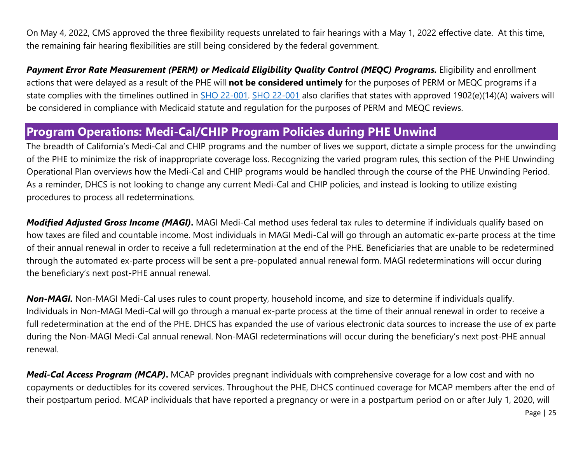<span id="page-27-0"></span>On May 4, 2022, CMS approved the three flexibility requests unrelated to fair hearings with a May 1, 2022 effective date. At this time, the remaining fair hearing flexibilities are still being considered by the federal government.

*Payment Error Rate Measurement (PERM) or Medicaid Eligibility Quality Control (MEQC) Programs.* Eligibility and enrollment actions that were delayed as a result of the PHE will **not be considered untimely** for the purposes of PERM or MEQC programs if a state complies with the timelines outlined in [SHO 22-001. SHO 22-001](https://www.medicaid.gov/federal-policy-guidance/downloads/sho22001.pdf) also clarifies that states with approved 1902(e)(14)(A) waivers will be considered in compliance with Medicaid statute and regulation for the purposes of PERM and MEQC reviews.

#### **Program Operations: Medi-Cal/CHIP Program Policies during PHE Unwind**

The breadth of California's Medi-Cal and CHIP programs and the number of lives we support, dictate a simple process for the unwinding of the PHE to minimize the risk of inappropriate coverage loss. Recognizing the varied program rules, this section of the PHE Unwinding Operational Plan overviews how the Medi-Cal and CHIP programs would be handled through the course of the PHE Unwinding Period. As a reminder, DHCS is not looking to change any current Medi-Cal and CHIP policies, and instead is looking to utilize existing procedures to process all redeterminations.

*Modified Adjusted Gross Income (MAGI)***.** MAGI Medi-Cal method uses federal tax rules to determine if individuals qualify based on how taxes are filed and countable income. Most individuals in MAGI Medi-Cal will go through an automatic ex-parte process at the time of their annual renewal in order to receive a full redetermination at the end of the PHE. Beneficiaries that are unable to be redetermined through the automated ex-parte process will be sent a pre-populated annual renewal form. MAGI redeterminations will occur during the beneficiary's next post-PHE annual renewal.

*Non-MAGI.* Non-MAGI Medi-Cal uses rules to count property, household income, and size to determine if individuals qualify. Individuals in Non-MAGI Medi-Cal will go through a manual ex-parte process at the time of their annual renewal in order to receive a full redetermination at the end of the PHE. DHCS has expanded the use of various electronic data sources to increase the use of ex parte during the Non-MAGI Medi-Cal annual renewal. Non-MAGI redeterminations will occur during the beneficiary's next post-PHE annual renewal.

*Medi-Cal Access Program (MCAP)***.** MCAP provides pregnant individuals with comprehensive coverage for a low cost and with no copayments or deductibles for its covered services. Throughout the PHE, DHCS continued coverage for MCAP members after the end of their postpartum period. MCAP individuals that have reported a pregnancy or were in a postpartum period on or after July 1, 2020, will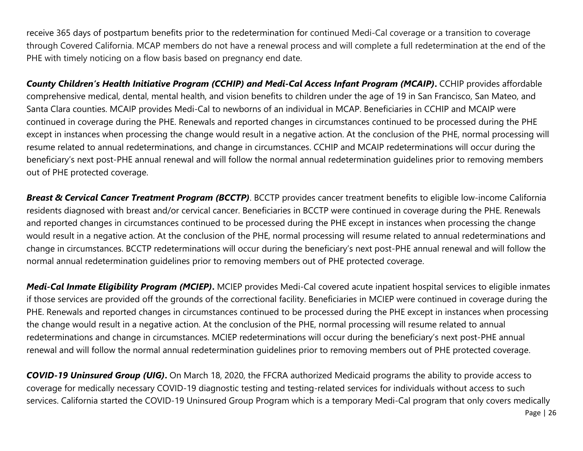receive 365 days of postpartum benefits prior to the redetermination for continued Medi-Cal coverage or a transition to coverage through Covered California. MCAP members do not have a renewal process and will complete a full redetermination at the end of the PHE with timely noticing on a flow basis based on pregnancy end date.

*County Children's Health Initiative Program (CCHIP) and Medi-Cal Access Infant Program (MCAIP)***.** CCHIP provides affordable comprehensive medical, dental, mental health, and vision benefits to children under the age of 19 in San Francisco, San Mateo, and Santa Clara counties. MCAIP provides Medi-Cal to newborns of an individual in MCAP. Beneficiaries in CCHIP and MCAIP were continued in coverage during the PHE. Renewals and reported changes in circumstances continued to be processed during the PHE except in instances when processing the change would result in a negative action. At the conclusion of the PHE, normal processing will resume related to annual redeterminations, and change in circumstances. CCHIP and MCAIP redeterminations will occur during the beneficiary's next post-PHE annual renewal and will follow the normal annual redetermination guidelines prior to removing members out of PHE protected coverage.

*Breast & Cervical Cancer Treatment Program (BCCTP)*. BCCTP provides cancer treatment benefits to eligible low-income California residents diagnosed with breast and/or cervical cancer. Beneficiaries in BCCTP were continued in coverage during the PHE. Renewals and reported changes in circumstances continued to be processed during the PHE except in instances when processing the change would result in a negative action. At the conclusion of the PHE, normal processing will resume related to annual redeterminations and change in circumstances. BCCTP redeterminations will occur during the beneficiary's next post-PHE annual renewal and will follow the normal annual redetermination guidelines prior to removing members out of PHE protected coverage.

*Medi-Cal Inmate Eligibility Program (MCIEP)***.** MCIEP provides Medi-Cal covered acute inpatient hospital services to eligible inmates if those services are provided off the grounds of the correctional facility. Beneficiaries in MCIEP were continued in coverage during the PHE. Renewals and reported changes in circumstances continued to be processed during the PHE except in instances when processing the change would result in a negative action. At the conclusion of the PHE, normal processing will resume related to annual redeterminations and change in circumstances. MCIEP redeterminations will occur during the beneficiary's next post-PHE annual renewal and will follow the normal annual redetermination guidelines prior to removing members out of PHE protected coverage.

*COVID-19 Uninsured Group (UIG)***.** On March 18, 2020, the FFCRA authorized Medicaid programs the ability to provide access to coverage for medically necessary COVID-19 diagnostic testing and testing-related services for individuals without access to such services. California started the COVID-19 Uninsured Group Program which is a temporary Medi-Cal program that only covers medically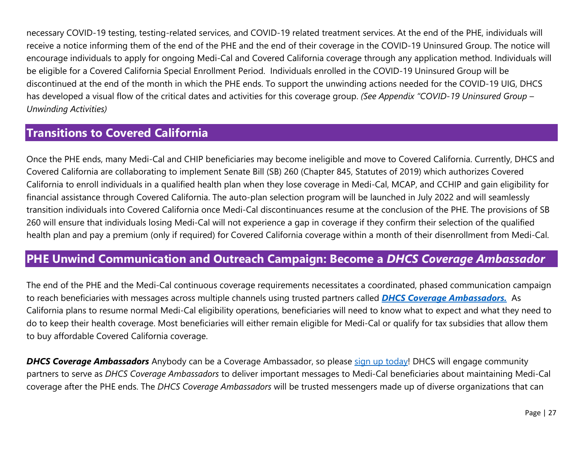<span id="page-29-0"></span>necessary COVID-19 testing, testing-related services, and COVID-19 related treatment services. At the end of the PHE, individuals will receive a notice informing them of the end of the PHE and the end of their coverage in the COVID-19 Uninsured Group. The notice will encourage individuals to apply for ongoing Medi-Cal and Covered California coverage through any application method. Individuals will be eligible for a Covered California Special Enrollment Period. Individuals enrolled in the COVID-19 Uninsured Group will be discontinued at the end of the month in which the PHE ends. To support the unwinding actions needed for the COVID-19 UIG, DHCS has developed a visual flow of the critical dates and activities for this coverage group. *(See Appendix "COVID-19 Uninsured Group – Unwinding Activities)*

## **Transitions to Covered California**

Once the PHE ends, many Medi-Cal and CHIP beneficiaries may become ineligible and move to Covered California. Currently, DHCS and Covered California are collaborating to implement Senate Bill (SB) 260 (Chapter 845, Statutes of 2019) which authorizes Covered California to enroll individuals in a qualified health plan when they lose coverage in Medi-Cal, MCAP, and CCHIP and gain eligibility for financial assistance through Covered California. The auto-plan selection program will be launched in July 2022 and will seamlessly transition individuals into Covered California once Medi-Cal discontinuances resume at the conclusion of the PHE. The provisions of SB 260 will ensure that individuals losing Medi-Cal will not experience a gap in coverage if they confirm their selection of the qualified health plan and pay a premium (only if required) for Covered California coverage within a month of their disenrollment from Medi-Cal.

#### **PHE Unwind Communication and Outreach Campaign: Become a** *DHCS Coverage Ambassador*

The end of the PHE and the Medi-Cal continuous coverage requirements necessitates a coordinated, phased communication campaign to reach beneficiaries with messages across multiple channels using trusted partners called *[DHCS Coverage Ambassadors.](https://www.dhcs.ca.gov/toolkits/Pages/PHE-Outreach-Toolkit.aspx)* As California plans to resume normal Medi-Cal eligibility operations, beneficiaries will need to know what to expect and what they need to do to keep their health coverage. Most beneficiaries will either remain eligible for Medi-Cal or qualify for tax subsidies that allow them to buy affordable Covered California coverage.

**DHCS Coverage Ambassadors** Anybody can be a Coverage Ambassador, so please [sign up today!](https://www.dhcs.ca.gov/toolkits/Pages/PHE-Outreach-Toolkit.aspx) DHCS will engage community partners to serve as *[DHCS Coverage Ambassadors](https://www.dhcs.ca.gov/toolkits/Pages/PHE-Outreach-Toolkit.aspx)* to deliver important messages to Medi-Cal beneficiaries about maintaining Medi-Cal coverage after the PHE ends. The *[DHCS Coverage Ambassadors](https://www.dhcs.ca.gov/toolkits/Pages/PHE-Outreach-Toolkit.aspx)* will be trusted messengers made up of diverse organizations that can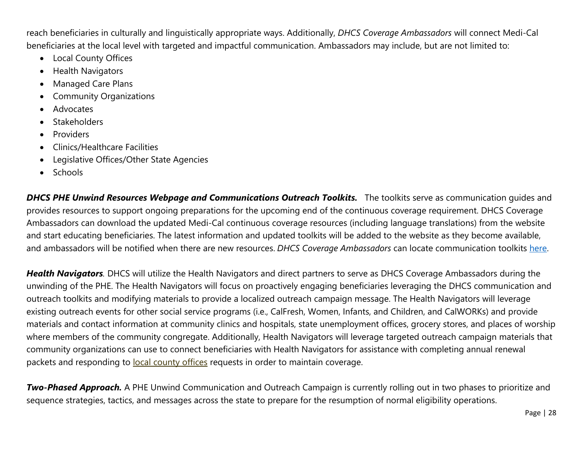reach beneficiaries in culturally and linguistically appropriate ways. Additionally, *DHCS Coverage Ambassadors* will connect Medi-Cal beneficiaries at the local level with targeted and impactful communication. Ambassadors may include, but are not limited to:

- Local County Offices
- Health Navigators
- Managed Care Plans
- Community Organizations
- Advocates
- **Stakeholders**
- **Providers**
- Clinics/Healthcare Facilities
- Legislative Offices/Other State Agencies
- Schools

*DHCS PHE Unwind Resources Webpage and Communications Outreach Toolkits.* The toolkits serve as communication guides and provides resources to support ongoing preparations for the upcoming end of the continuous coverage requirement. DHCS Coverage Ambassadors can download the updated Medi-Cal continuous coverage resources (including language translations) from the website and start educating beneficiaries. The latest information and updated toolkits will be added to the website as they become available, and ambassadors will be notified when there are new resources. *DHCS Coverage Ambassadors* can locate communication toolkits [here.](https://www.dhcs.ca.gov/toolkits/Pages/PHE-Outreach-Toolkit.aspx)

*Health Navigators.* DHCS will utilize the Health Navigators and direct partners to serve as DHCS Coverage Ambassadors during the unwinding of the PHE. The Health Navigators will focus on proactively engaging beneficiaries leveraging the DHCS communication and outreach toolkits and modifying materials to provide a localized outreach campaign message. The Health Navigators will leverage existing outreach events for other social service programs (i.e., CalFresh, Women, Infants, and Children, and CalWORKs) and provide materials and contact information at community clinics and hospitals, state unemployment offices, grocery stores, and places of worship where members of the community congregate. Additionally, Health Navigators will leverage targeted outreach campaign materials that community organizations can use to connect beneficiaries with Health Navigators for assistance with completing annual renewal packets and responding to local county offices requests in order to maintain coverage.

*Two-Phased Approach.* A PHE Unwind Communication and Outreach Campaign is currently rolling out in two phases to prioritize and sequence strategies, tactics, and messages across the state to prepare for the resumption of normal eligibility operations.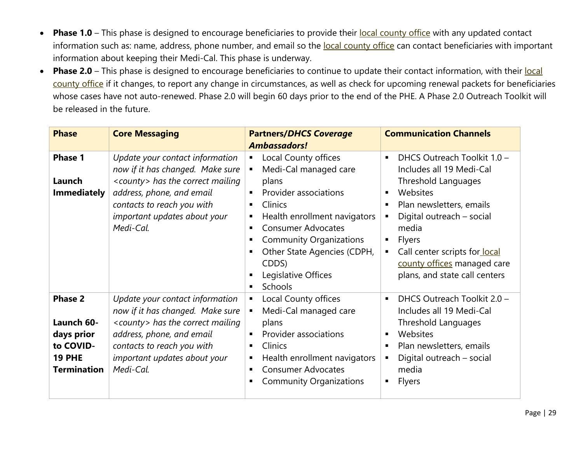- Phase 1.0 This phase is designed to encourage beneficiaries to provide their local county office with any updated contact information such as: name, address, phone number, and email so the local county office can contact beneficiaries with important information about keeping their Medi-Cal. This phase is underway.
- Phase 2.0 This phase is designed to encourage beneficiaries to continue to update their contact information, with their local county office if it changes, to report any change in circumstances, as well as check for upcoming renewal packets for beneficiaries whose cases have not auto-renewed. Phase 2.0 will begin 60 days prior to the end of the PHE. A Phase 2.0 Outreach Toolkit will be released in the future.

| <b>Phase</b>                                                                                   | <b>Core Messaging</b>                                                                                                                                                                                                        | <b>Partners/DHCS Coverage</b>                                                                                                                                                                                                                                                                                    | <b>Communication Channels</b>                                                                                                                                                                                                                                                                                                      |
|------------------------------------------------------------------------------------------------|------------------------------------------------------------------------------------------------------------------------------------------------------------------------------------------------------------------------------|------------------------------------------------------------------------------------------------------------------------------------------------------------------------------------------------------------------------------------------------------------------------------------------------------------------|------------------------------------------------------------------------------------------------------------------------------------------------------------------------------------------------------------------------------------------------------------------------------------------------------------------------------------|
|                                                                                                |                                                                                                                                                                                                                              | <b>Ambassadors!</b>                                                                                                                                                                                                                                                                                              |                                                                                                                                                                                                                                                                                                                                    |
| <b>Phase 1</b><br>Launch<br><b>Immediately</b>                                                 | Update your contact information<br>now if it has changed. Make sure<br><county> has the correct mailing<br/>address, phone, and email<br/>contacts to reach you with<br/>important updates about your<br/>Medi-Cal.</county> | Local County offices<br>٠<br>Medi-Cal managed care<br>٠<br>plans<br>Provider associations<br>٠<br>Clinics<br>٠<br>Health enrollment navigators<br>٠<br><b>Consumer Advocates</b><br>П<br><b>Community Organizations</b><br>п<br>Other State Agencies (CDPH,<br>٠<br>CDDS)<br>Legislative Offices<br>Schools<br>٠ | DHCS Outreach Toolkit 1.0 -<br>$\blacksquare$<br>Includes all 19 Medi-Cal<br>Threshold Languages<br>Websites<br>$\blacksquare$<br>Plan newsletters, emails<br>Digital outreach - social<br>media<br>Flyers<br>п<br>Call center scripts for local<br>$\blacksquare$<br>county offices managed care<br>plans, and state call centers |
| <b>Phase 2</b><br>Launch 60-<br>days prior<br>to COVID-<br><b>19 PHE</b><br><b>Termination</b> | Update your contact information<br>now if it has changed. Make sure<br><county> has the correct mailing<br/>address, phone, and email<br/>contacts to reach you with<br/>important updates about your<br/>Medi-Cal.</county> | Local County offices<br>٠<br>Medi-Cal managed care<br>$\blacksquare$<br>plans<br>Provider associations<br>٠<br>Clinics<br>٠<br>Health enrollment navigators<br>п<br><b>Consumer Advocates</b><br>п<br><b>Community Organizations</b><br>٠                                                                        | DHCS Outreach Toolkit 2.0 -<br>$\blacksquare$<br>Includes all 19 Medi-Cal<br>Threshold Languages<br>Websites<br>٠<br>Plan newsletters, emails<br>$\blacksquare$<br>Digital outreach - social<br>media<br><b>Flyers</b>                                                                                                             |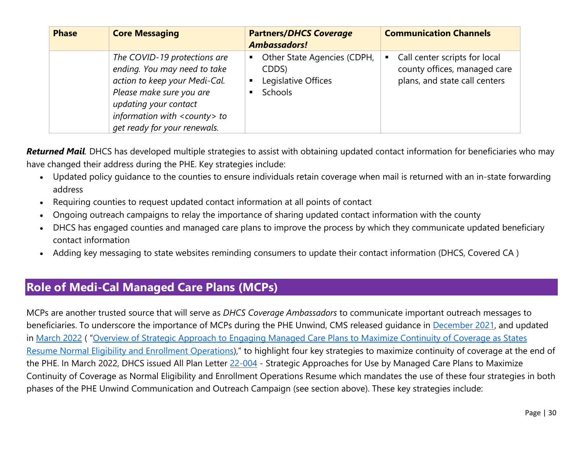<span id="page-32-0"></span>

| <b>Phase</b> | <b>Core Messaging</b>                                                                                                                                                                                                        | <b>Partners/DHCS Coverage</b><br><b>Ambassadors!</b>                                          | <b>Communication Channels</b>                                                                       |
|--------------|------------------------------------------------------------------------------------------------------------------------------------------------------------------------------------------------------------------------------|-----------------------------------------------------------------------------------------------|-----------------------------------------------------------------------------------------------------|
|              | The COVID-19 protections are<br>ending. You may need to take<br>action to keep your Medi-Cal.<br>Please make sure you are<br>updating your contact<br>information with <county> to<br/>get ready for your renewals.</county> | Other State Agencies (CDPH,<br>п<br>CDDS)<br>Legislative Offices<br>$\blacksquare$<br>Schools | Call center scripts for local<br>٠<br>county offices, managed care<br>plans, and state call centers |

*Returned Mail.* DHCS has developed multiple strategies to assist with obtaining updated contact information for beneficiaries who may have changed their address during the PHE. Key strategies include:

- Updated policy guidance to the counties to ensure individuals retain coverage when mail is returned with an in-state forwarding address
- Requiring counties to request updated contact information at all points of contact
- Ongoing outreach campaigns to relay the importance of sharing updated contact information with the county
- DHCS has engaged counties and managed care plans to improve the process by which they communicate updated beneficiary contact information
- Adding key messaging to state websites reminding consumers to update their contact information (DHCS, Covered CA )

## **Role of Medi-Cal Managed Care Plans (MCPs)**

MCPs are another trusted source that will serve as *[DHCS Coverage Ambassadors](https://www.dhcs.ca.gov/toolkits/Pages/PHE-Outreach-Toolkit.aspx)* to communicate important outreach messages to beneficiaries. To underscore the importance of MCPs during the PHE Unwind, CMS released guidance in [December 2021,](https://www.medicaid.gov/resources-for-states/downloads/health-plan-strategy-12062021.pdf) and updated in [March 2022](https://www.medicaid.gov/resources-for-states/downloads/health-plan-strategy-12062021.pdf) ( ["Overview of Strategic Approach to Engaging Managed Care Plans to Maximize Continuity of Coverage as States](https://www.medicaid.gov/resources-for-states/downloads/health-plan-strategy-12062021.pdf) Resume [Normal Eligibility and Enrollment Operations\)](https://www.medicaid.gov/resources-for-states/downloads/health-plan-strategy-12062021.pdf)," to highlight four key strategies to maximize continuity of coverage at the end of the PHE. In March 2022, DHCS issued All Plan Letter [22-004](https://www.dhcs.ca.gov/formsandpubs/Documents/MMCDAPLsandPolicyLetters/APL2022/APL-22-004.pdf) - Strategic Approaches for Use by Managed Care Plans to Maximize Continuity of Coverage as Normal Eligibility and Enrollment Operations Resume which mandates the use of these four strategies in both phases of the PHE Unwind Communication and Outreach Campaign (see section above). These key strategies include: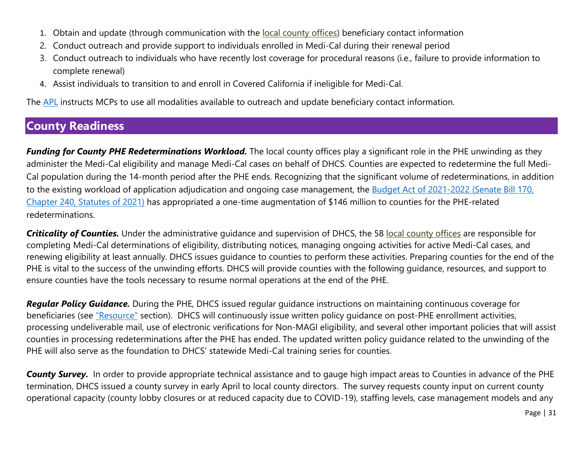- <span id="page-33-0"></span>1. Obtain and update (through communication with the local county offices) beneficiary contact information
- 2. Conduct outreach and provide support to individuals enrolled in Medi-Cal during their renewal period
- 3. Conduct outreach to individuals who have recently lost coverage for procedural reasons (i.e., failure to provide information to complete renewal)
- 4. Assist individuals to transition to and enroll in Covered California if ineligible for Medi-Cal.

The [APL](https://www.dhcs.ca.gov/formsandpubs/Documents/MMCDAPLsandPolicyLetters/APL2022/APL-22-004.pdf) instructs MCPs to use all modalities available to outreach and update beneficiary contact information.

## **County Readiness**

*Funding for County PHE Redeterminations Workload.* The local county offices play a significant role in the PHE unwinding as they administer the Medi-Cal eligibility and manage Medi-Cal cases on behalf of DHCS. Counties are expected to redetermine the full Medi-Cal population during the 14-month period after the PHE ends. Recognizing that the significant volume of redeterminations, in addition to the existing workload of application adjudication and ongoing case management, the [Budget Act of 2021-2022](https://leginfo.legislature.ca.gov/faces/billNavClient.xhtml?bill_id=202120220SB170) (Senate Bill 170, [Chapter 240, Statutes](https://leginfo.legislature.ca.gov/faces/billNavClient.xhtml?bill_id=202120220SB170) of 2021) has appropriated a one-time augmentation of \$146 million to counties for the PHE-related redeterminations.

*Criticality of Counties.* Under the administrative guidance and supervision of DHCS, the 58 local county offices are responsible for completing Medi-Cal determinations of eligibility, distributing notices, managing ongoing activities for active Medi-Cal cases, and renewing eligibility at least annually. DHCS issues guidance to counties to perform these activities. Preparing counties for the end of the PHE is vital to the success of the unwinding efforts. DHCS will provide counties with the following guidance, resources, and support to ensure counties have the tools necessary to resume normal operations at the end of the PHE.

*Regular Policy Guidance.* During the PHE, DHCS issued regular guidance instructions on maintaining continuous coverage for beneficiaries (see ["Resource"](#page-40-0) section). DHCS will continuously issue written policy quidance on post-PHE enrollment activities, processing undeliverable mail, use of electronic verifications for Non-MAGI eligibility, and several other important policies that will assist counties in processing redeterminations after the PHE has ended. The updated written policy guidance related to the unwinding of the PHE will also serve as the foundation to DHCS' statewide Medi-Cal training series for counties.

*County Survey.* In order to provide appropriate technical assistance and to gauge high impact areas to Counties in advance of the PHE termination, DHCS issued a county survey in early April to local county directors. The survey requests county input on current county operational capacity (county lobby closures or at reduced capacity due to COVID-19), staffing levels, case management models and any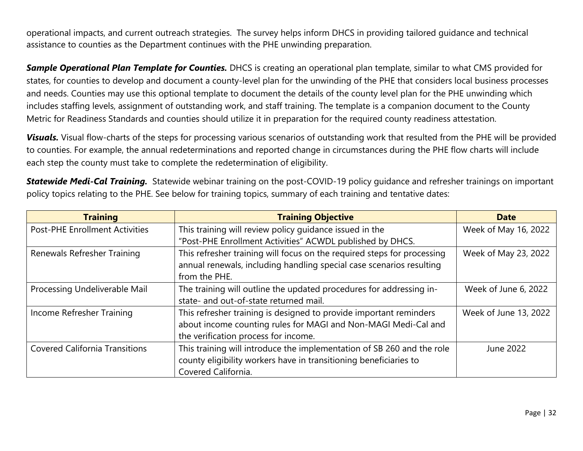operational impacts, and current outreach strategies. The survey helps inform DHCS in providing tailored guidance and technical assistance to counties as the Department continues with the PHE unwinding preparation.

*Sample Operational Plan Template for Counties.* DHCS is creating an operational plan template, similar to what CMS provided for states, for counties to develop and document a county-level plan for the unwinding of the PHE that considers local business processes and needs. Counties may use this optional template to document the details of the county level plan for the PHE unwinding which includes staffing levels, assignment of outstanding work, and staff training. The template is a companion document to the County Metric for Readiness Standards and counties should utilize it in preparation for the required county readiness attestation.

*Visuals.* Visual flow-charts of the steps for processing various scenarios of outstanding work that resulted from the PHE will be provided to counties. For example, the annual redeterminations and reported change in circumstances during the PHE flow charts will include each step the county must take to complete the redetermination of eligibility.

*Statewide Medi-Cal Training.* Statewide webinar training on the post-COVID-19 policy guidance and refresher trainings on important policy topics relating to the PHE. See below for training topics, summary of each training and tentative dates:

| <b>Training</b>                       | <b>Training Objective</b>                                               | <b>Date</b>           |
|---------------------------------------|-------------------------------------------------------------------------|-----------------------|
| <b>Post-PHE Enrollment Activities</b> | This training will review policy guidance issued in the                 | Week of May 16, 2022  |
|                                       | "Post-PHE Enrollment Activities" ACWDL published by DHCS.               |                       |
| Renewals Refresher Training           | This refresher training will focus on the required steps for processing | Week of May 23, 2022  |
|                                       | annual renewals, including handling special case scenarios resulting    |                       |
|                                       | from the PHE.                                                           |                       |
| Processing Undeliverable Mail         | The training will outline the updated procedures for addressing in-     | Week of June 6, 2022  |
|                                       | state- and out-of-state returned mail.                                  |                       |
| Income Refresher Training             | This refresher training is designed to provide important reminders      | Week of June 13, 2022 |
|                                       | about income counting rules for MAGI and Non-MAGI Medi-Cal and          |                       |
|                                       | the verification process for income.                                    |                       |
| <b>Covered California Transitions</b> | This training will introduce the implementation of SB 260 and the role  | June 2022             |
|                                       | county eligibility workers have in transitioning beneficiaries to       |                       |
|                                       | Covered California.                                                     |                       |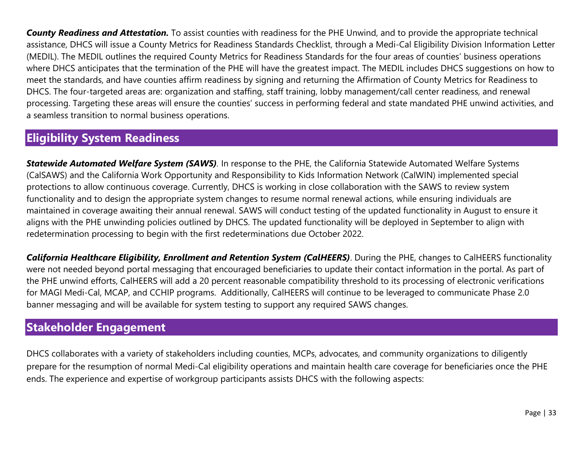<span id="page-35-0"></span>*County Readiness and Attestation.* To assist counties with readiness for the PHE Unwind, and to provide the appropriate technical assistance, DHCS will issue a County Metrics for Readiness Standards Checklist, through a Medi-Cal Eligibility Division Information Letter (MEDIL). The MEDIL outlines the required County Metrics for Readiness Standards for the four areas of counties' business operations where DHCS anticipates that the termination of the PHE will have the greatest impact. The MEDIL includes DHCS suggestions on how to meet the standards, and have counties affirm readiness by signing and returning the Affirmation of County Metrics for Readiness to DHCS. The four-targeted areas are: organization and staffing, staff training, lobby management/call center readiness, and renewal processing. Targeting these areas will ensure the counties' success in performing federal and state mandated PHE unwind activities, and a seamless transition to normal business operations.

## **Eligibility System Readiness**

*Statewide Automated Welfare System (SAWS).* In response to the PHE, the California Statewide Automated Welfare Systems (CalSAWS) and the California Work Opportunity and Responsibility to Kids Information Network (CalWIN) implemented special protections to allow continuous coverage. Currently, DHCS is working in close collaboration with the SAWS to review system functionality and to design the appropriate system changes to resume normal renewal actions, while ensuring individuals are maintained in coverage awaiting their annual renewal. SAWS will conduct testing of the updated functionality in August to ensure it aligns with the PHE unwinding policies outlined by DHCS. The updated functionality will be deployed in September to align with redetermination processing to begin with the first redeterminations due October 2022.

*California Healthcare Eligibility, Enrollment and Retention System (CalHEERS)*. During the PHE, changes to CalHEERS functionality were not needed beyond portal messaging that encouraged beneficiaries to update their contact information in the portal. As part of the PHE unwind efforts, CalHEERS will add a 20 percent reasonable compatibility threshold to its processing of electronic verifications for MAGI Medi-Cal, MCAP, and CCHIP programs. Additionally, CalHEERS will continue to be leveraged to communicate Phase 2.0 banner messaging and will be available for system testing to support any required SAWS changes.

## **Stakeholder Engagement**

DHCS collaborates with a variety of stakeholders including counties, MCPs, advocates, and community organizations to diligently prepare for the resumption of normal Medi-Cal eligibility operations and maintain health care coverage for beneficiaries once the PHE ends. The experience and expertise of workgroup participants assists DHCS with the following aspects: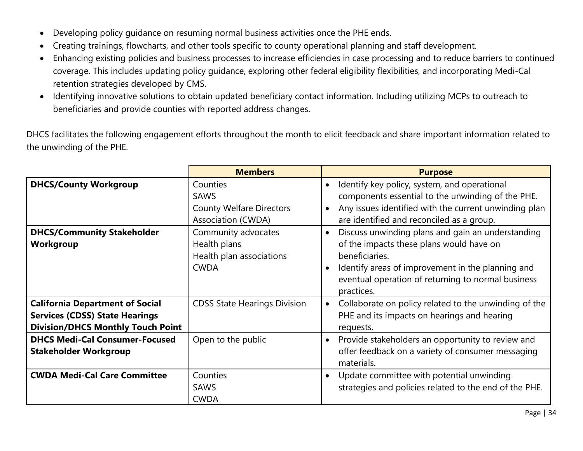- Developing policy guidance on resuming normal business activities once the PHE ends.
- Creating trainings, flowcharts, and other tools specific to county operational planning and staff development.
- Enhancing existing policies and business processes to increase efficiencies in case processing and to reduce barriers to continued coverage. This includes updating policy guidance, exploring other federal eligibility flexibilities, and incorporating Medi-Cal retention strategies developed by CMS.
- Identifying innovative solutions to obtain updated beneficiary contact information. Including utilizing MCPs to outreach to beneficiaries and provide counties with reported address changes.

DHCS facilitates the following engagement efforts throughout the month to elicit feedback and share important information related to the unwinding of the PHE.

|                                                                                                                             | <b>Members</b>                                                                          | <b>Purpose</b>                                                                                                                                                                                                                           |
|-----------------------------------------------------------------------------------------------------------------------------|-----------------------------------------------------------------------------------------|------------------------------------------------------------------------------------------------------------------------------------------------------------------------------------------------------------------------------------------|
| <b>DHCS/County Workgroup</b>                                                                                                | Counties<br><b>SAWS</b><br><b>County Welfare Directors</b><br><b>Association (CWDA)</b> | Identify key policy, system, and operational<br>components essential to the unwinding of the PHE.<br>Any issues identified with the current unwinding plan<br>are identified and reconciled as a group.                                  |
| <b>DHCS/Community Stakeholder</b><br>Workgroup                                                                              | Community advocates<br>Health plans<br>Health plan associations<br><b>CWDA</b>          | Discuss unwinding plans and gain an understanding<br>of the impacts these plans would have on<br>beneficiaries.<br>Identify areas of improvement in the planning and<br>eventual operation of returning to normal business<br>practices. |
| <b>California Department of Social</b><br><b>Services (CDSS) State Hearings</b><br><b>Division/DHCS Monthly Touch Point</b> | <b>CDSS State Hearings Division</b>                                                     | Collaborate on policy related to the unwinding of the<br>$\bullet$<br>PHE and its impacts on hearings and hearing<br>requests.                                                                                                           |
| <b>DHCS Medi-Cal Consumer-Focused</b><br><b>Stakeholder Workgroup</b>                                                       | Open to the public                                                                      | Provide stakeholders an opportunity to review and<br>$\bullet$<br>offer feedback on a variety of consumer messaging<br>materials.                                                                                                        |
| <b>CWDA Medi-Cal Care Committee</b>                                                                                         | Counties<br><b>SAWS</b><br><b>CWDA</b>                                                  | Update committee with potential unwinding<br>strategies and policies related to the end of the PHE.                                                                                                                                      |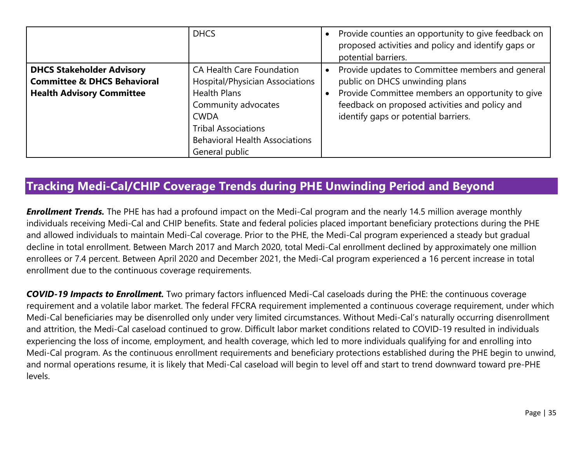<span id="page-37-0"></span>

|                                                                                                                | <b>DHCS</b>                                                                                                                                                                                                               | Provide counties an opportunity to give feedback on<br>proposed activities and policy and identify gaps or<br>potential barriers.                                                                                                |
|----------------------------------------------------------------------------------------------------------------|---------------------------------------------------------------------------------------------------------------------------------------------------------------------------------------------------------------------------|----------------------------------------------------------------------------------------------------------------------------------------------------------------------------------------------------------------------------------|
| <b>DHCS Stakeholder Advisory</b><br><b>Committee &amp; DHCS Behavioral</b><br><b>Health Advisory Committee</b> | <b>CA Health Care Foundation</b><br>Hospital/Physician Associations<br><b>Health Plans</b><br>Community advocates<br><b>CWDA</b><br><b>Tribal Associations</b><br><b>Behavioral Health Associations</b><br>General public | Provide updates to Committee members and general<br>public on DHCS unwinding plans<br>Provide Committee members an opportunity to give<br>feedback on proposed activities and policy and<br>identify gaps or potential barriers. |

## **Tracking Medi-Cal/CHIP Coverage Trends during PHE Unwinding Period and Beyond**

*Enrollment Trends.* The PHE has had a profound impact on the Medi-Cal program and the nearly 14.5 million average monthly individuals receiving Medi-Cal and CHIP benefits. State and federal policies placed important beneficiary protections during the PHE and allowed individuals to maintain Medi-Cal coverage. Prior to the PHE, the Medi-Cal program experienced a steady but gradual decline in total enrollment. Between March 2017 and March 2020, total Medi-Cal enrollment declined by approximately one million enrollees or 7.4 percent. Between April 2020 and December 2021, the Medi-Cal program experienced a 16 percent increase in total enrollment due to the continuous coverage requirements.

*COVID-19 Impacts to Enrollment.* Two primary factors influenced Medi-Cal caseloads during the PHE: the continuous coverage requirement and a volatile labor market. The federal FFCRA requirement implemented a continuous coverage requirement, under which Medi-Cal beneficiaries may be disenrolled only under very limited circumstances. Without Medi-Cal's naturally occurring disenrollment and attrition, the Medi-Cal caseload continued to grow. Difficult labor market conditions related to COVID-19 resulted in individuals experiencing the loss of income, employment, and health coverage, which led to more individuals qualifying for and enrolling into Medi-Cal program. As the continuous enrollment requirements and beneficiary protections established during the PHE begin to unwind, and normal operations resume, it is likely that Medi-Cal caseload will begin to level off and start to trend downward toward pre-PHE levels.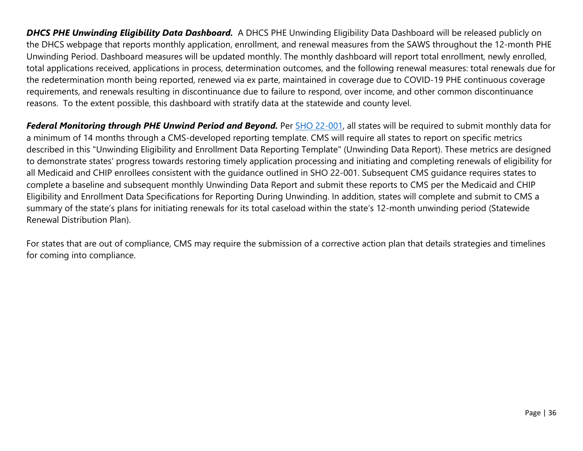*DHCS PHE Unwinding Eligibility Data Dashboard.* A DHCS PHE Unwinding Eligibility Data Dashboard will be released publicly on the DHCS webpage that reports monthly application, enrollment, and renewal measures from the SAWS throughout the 12-month PHE Unwinding Period. Dashboard measures will be updated monthly. The monthly dashboard will report total enrollment, newly enrolled, total applications received, applications in process, determination outcomes, and the following renewal measures: total renewals due for the redetermination month being reported, renewed via ex parte, maintained in coverage due to COVID-19 PHE continuous coverage requirements, and renewals resulting in discontinuance due to failure to respond, over income, and other common discontinuance reasons. To the extent possible, this dashboard with stratify data at the statewide and county level.

*Federal Monitoring through PHE Unwind Period and Beyond.* Per [SHO 22-001,](https://www.medicaid.gov/federal-policy-guidance/downloads/sho22001.pdf) all states will be required to submit monthly data for a minimum of 14 months through a CMS-developed reporting template. CMS will require all states to report on specific metrics described in this "Unwinding Eligibility and Enrollment Data Reporting Template" (Unwinding Data Report). These metrics are designed to demonstrate states' progress towards restoring timely application processing and initiating and completing renewals of eligibility for all Medicaid and CHIP enrollees consistent with the guidance outlined in SHO 22-001. Subsequent CMS guidance requires states to complete a baseline and subsequent monthly Unwinding Data Report and submit these reports to CMS per the Medicaid and CHIP Eligibility and Enrollment Data Specifications for Reporting During Unwinding. In addition, states will complete and submit to CMS a summary of the state's plans for initiating renewals for its total caseload within the state's 12-month unwinding period (Statewide Renewal Distribution Plan).

For states that are out of compliance, CMS may require the submission of a corrective action plan that details strategies and timelines for coming into compliance.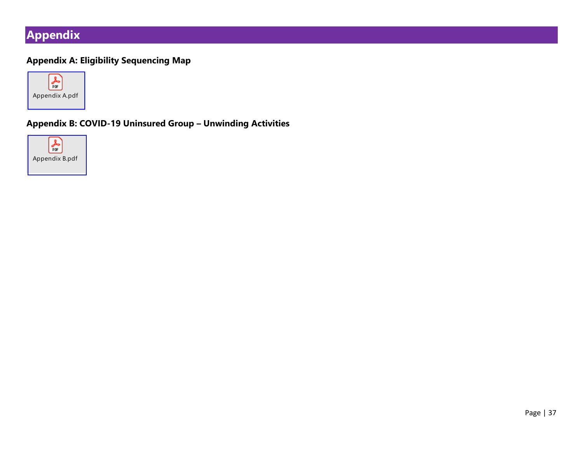## <span id="page-39-0"></span>**Appendix**

#### **Appendix A: Eligibility Sequencing Map**



#### **Appendix B: COVID-19 Uninsured Group – Unwinding Activities**

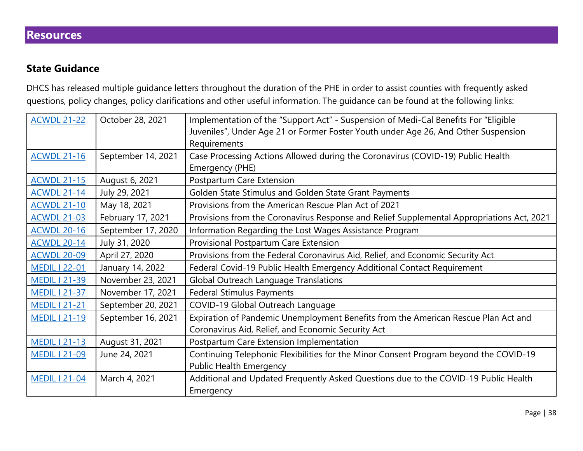#### <span id="page-40-0"></span>**Resources**

#### **State Guidance**

DHCS has released multiple guidance letters throughout the duration of the PHE in order to assist counties with frequently asked questions, policy changes, policy clarifications and other useful information. The guidance can be found at the following links:

| <b>ACWDL 21-22</b>   | October 28, 2021   | Implementation of the "Support Act" - Suspension of Medi-Cal Benefits For "Eligible       |
|----------------------|--------------------|-------------------------------------------------------------------------------------------|
|                      |                    | Juveniles", Under Age 21 or Former Foster Youth under Age 26, And Other Suspension        |
|                      |                    | Requirements                                                                              |
| <b>ACWDL 21-16</b>   | September 14, 2021 | Case Processing Actions Allowed during the Coronavirus (COVID-19) Public Health           |
|                      |                    | Emergency (PHE)                                                                           |
| <b>ACWDL 21-15</b>   | August 6, 2021     | Postpartum Care Extension                                                                 |
| <b>ACWDL 21-14</b>   | July 29, 2021      | Golden State Stimulus and Golden State Grant Payments                                     |
| <b>ACWDL 21-10</b>   | May 18, 2021       | Provisions from the American Rescue Plan Act of 2021                                      |
| <b>ACWDL 21-03</b>   | February 17, 2021  | Provisions from the Coronavirus Response and Relief Supplemental Appropriations Act, 2021 |
| <b>ACWDL 20-16</b>   | September 17, 2020 | Information Regarding the Lost Wages Assistance Program                                   |
| <b>ACWDL 20-14</b>   | July 31, 2020      | Provisional Postpartum Care Extension                                                     |
| <b>ACWDL 20-09</b>   | April 27, 2020     | Provisions from the Federal Coronavirus Aid, Relief, and Economic Security Act            |
| <b>MEDIL   22-01</b> | January 14, 2022   | Federal Covid-19 Public Health Emergency Additional Contact Requirement                   |
| <b>MEDIL I 21-39</b> | November 23, 2021  | <b>Global Outreach Language Translations</b>                                              |
| <b>MEDIL   21-37</b> | November 17, 2021  | <b>Federal Stimulus Payments</b>                                                          |
| <b>MEDIL   21-21</b> | September 20, 2021 | COVID-19 Global Outreach Language                                                         |
| <b>MEDIL 121-19</b>  | September 16, 2021 | Expiration of Pandemic Unemployment Benefits from the American Rescue Plan Act and        |
|                      |                    | Coronavirus Aid, Relief, and Economic Security Act                                        |
| <b>MEDIL 121-13</b>  | August 31, 2021    | Postpartum Care Extension Implementation                                                  |
| <b>MEDIL 121-09</b>  | June 24, 2021      | Continuing Telephonic Flexibilities for the Minor Consent Program beyond the COVID-19     |
|                      |                    | Public Health Emergency                                                                   |
| <b>MEDIL   21-04</b> | March 4, 2021      | Additional and Updated Frequently Asked Questions due to the COVID-19 Public Health       |
|                      |                    | Emergency                                                                                 |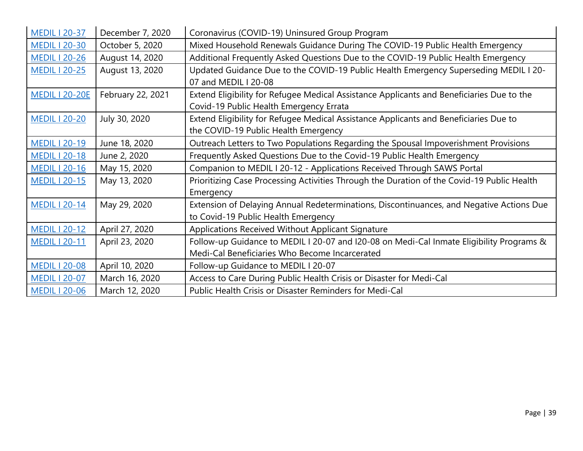| <b>MEDIL I 20-37</b>  | December 7, 2020  | Coronavirus (COVID-19) Uninsured Group Program                                                                                             |
|-----------------------|-------------------|--------------------------------------------------------------------------------------------------------------------------------------------|
| <b>MEDIL 120-30</b>   | October 5, 2020   | Mixed Household Renewals Guidance During The COVID-19 Public Health Emergency                                                              |
| <b>MEDIL 120-26</b>   | August 14, 2020   | Additional Frequently Asked Questions Due to the COVID-19 Public Health Emergency                                                          |
| <b>MEDIL I 20-25</b>  | August 13, 2020   | Updated Guidance Due to the COVID-19 Public Health Emergency Superseding MEDIL I 20-<br>07 and MEDIL   20-08                               |
| <b>MEDIL 1 20-20E</b> | February 22, 2021 | Extend Eligibility for Refugee Medical Assistance Applicants and Beneficiaries Due to the<br>Covid-19 Public Health Emergency Errata       |
| <b>MEDIL 120-20</b>   | July 30, 2020     | Extend Eligibility for Refugee Medical Assistance Applicants and Beneficiaries Due to<br>the COVID-19 Public Health Emergency              |
| <b>MEDIL I 20-19</b>  | June 18, 2020     | Outreach Letters to Two Populations Regarding the Spousal Impoverishment Provisions                                                        |
| <b>MEDIL   20-18</b>  | June 2, 2020      | Frequently Asked Questions Due to the Covid-19 Public Health Emergency                                                                     |
| <b>MEDIL I 20-16</b>  | May 15, 2020      | Companion to MEDIL I 20-12 - Applications Received Through SAWS Portal                                                                     |
| <b>MEDIL 120-15</b>   | May 13, 2020      | Prioritizing Case Processing Activities Through the Duration of the Covid-19 Public Health<br>Emergency                                    |
| <b>MEDIL I 20-14</b>  | May 29, 2020      | Extension of Delaying Annual Redeterminations, Discontinuances, and Negative Actions Due<br>to Covid-19 Public Health Emergency            |
| <b>MEDIL I 20-12</b>  | April 27, 2020    | Applications Received Without Applicant Signature                                                                                          |
| <b>MEDIL   20-11</b>  | April 23, 2020    | Follow-up Guidance to MEDIL I 20-07 and I20-08 on Medi-Cal Inmate Eligibility Programs &<br>Medi-Cal Beneficiaries Who Become Incarcerated |
| <b>MEDIL   20-08</b>  | April 10, 2020    | Follow-up Guidance to MEDIL I 20-07                                                                                                        |
| <b>MEDIL I 20-07</b>  | March 16, 2020    | Access to Care During Public Health Crisis or Disaster for Medi-Cal                                                                        |
| <b>MEDIL I 20-06</b>  | March 12, 2020    | Public Health Crisis or Disaster Reminders for Medi-Cal                                                                                    |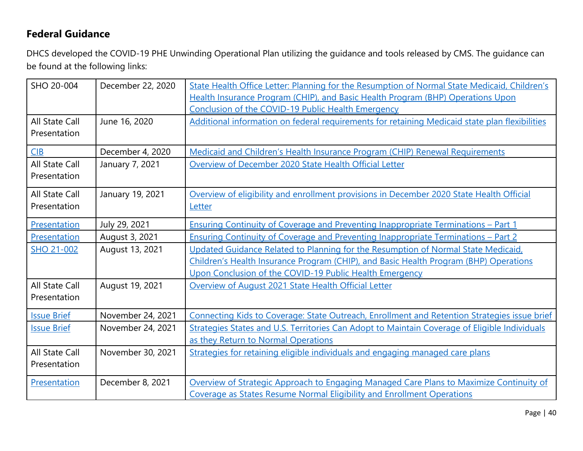## **Federal Guidance**

DHCS developed the COVID-19 PHE Unwinding Operational Plan utilizing the guidance and tools released by CMS. The guidance can be found at the following links:

| SHO 20-004            | December 22, 2020 | State Health Office Letter: Planning for the Resumption of Normal State Medicaid, Children's   |
|-----------------------|-------------------|------------------------------------------------------------------------------------------------|
|                       |                   | Health Insurance Program (CHIP), and Basic Health Program (BHP) Operations Upon                |
|                       |                   | <b>Conclusion of the COVID-19 Public Health Emergency</b>                                      |
| <b>All State Call</b> | June 16, 2020     | Additional information on federal requirements for retaining Medicaid state plan flexibilities |
| Presentation          |                   |                                                                                                |
| CIB                   | December 4, 2020  | Medicaid and Children's Health Insurance Program (CHIP) Renewal Requirements                   |
| <b>All State Call</b> | January 7, 2021   | Overview of December 2020 State Health Official Letter                                         |
| Presentation          |                   |                                                                                                |
| <b>All State Call</b> | January 19, 2021  | Overview of eligibility and enrollment provisions in December 2020 State Health Official       |
| Presentation          |                   | Letter                                                                                         |
| Presentation          | July 29, 2021     | <b>Ensuring Continuity of Coverage and Preventing Inappropriate Terminations - Part 1</b>      |
| Presentation          | August 3, 2021    | Ensuring Continuity of Coverage and Preventing Inappropriate Terminations - Part 2             |
| SHO 21-002            | August 13, 2021   | Updated Guidance Related to Planning for the Resumption of Normal State Medicaid,              |
|                       |                   | Children's Health Insurance Program (CHIP), and Basic Health Program (BHP) Operations          |
|                       |                   | Upon Conclusion of the COVID-19 Public Health Emergency                                        |
| <b>All State Call</b> | August 19, 2021   | Overview of August 2021 State Health Official Letter                                           |
| Presentation          |                   |                                                                                                |
| <b>Issue Brief</b>    | November 24, 2021 | Connecting Kids to Coverage: State Outreach, Enrollment and Retention Strategies issue brief   |
| <b>Issue Brief</b>    | November 24, 2021 | Strategies States and U.S. Territories Can Adopt to Maintain Coverage of Eligible Individuals  |
|                       |                   | as they Return to Normal Operations                                                            |
| <b>All State Call</b> | November 30, 2021 | Strategies for retaining eligible individuals and engaging managed care plans                  |
| Presentation          |                   |                                                                                                |
| Presentation          | December 8, 2021  | Overview of Strategic Approach to Engaging Managed Care Plans to Maximize Continuity of        |
|                       |                   | Coverage as States Resume Normal Eligibility and Enrollment Operations                         |